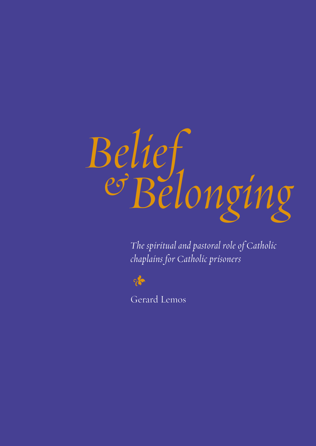

*The spiritual and pastoral role of Catholic chaplains for Catholic prisoners*



Gerard Lemos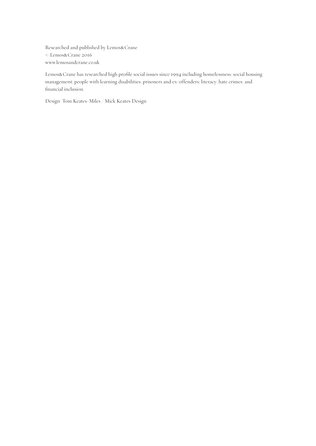Researched and published by Lemos&Crane © Lemos&Crane 2016 www.lemosandcrane.co.uk

Lemos&Crane has researched high profile social issues since 1994 including homelessness; social housing management; people with learning disabilities; prisoners and ex-offenders; literacy; hate crimes; and financial inclusion.

Design: Tom Keates-Miles / Mick Keates Design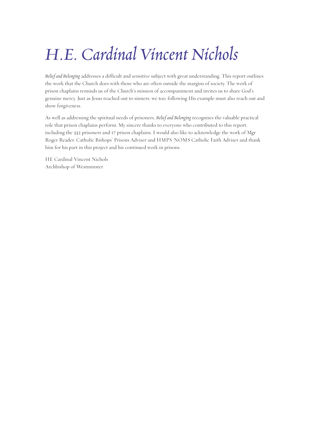# *H.E. Cardinal Vincent Nichols*

*Belief and Belonging* addresses a difficult and sensitive subject with great understanding. This report outlines the work that the Church does with those who are often outside the margins of society. The work of prison chaplains reminds us of the Church's mission of accompaniment and invites us to share God's genuine mercy. Just as Jesus reached out to sinners, we too, following His example must also reach out and show forgiveness.

As well as addressing the spiritual needs of prisoners, *Belief and Belonging* recognises the valuable practical role that prison chaplains perform. My sincere thanks to everyone who contributed to this report, including the 332 prisoners and 17 prison chaplains. I would also like to acknowledge the work of Mgr Roger Reader, Catholic Bishops' Prisons Adviser and HMPS/NOMS Catholic Faith Adviser and thank him for his part in this project and his continued work in prisons.

HE Cardinal Vincent Nichols Archbishop of Westminster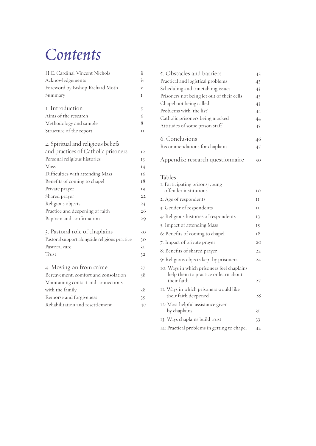# *Contents*

| H.E. Cardinal Vincent Nichols                 | ii          |
|-----------------------------------------------|-------------|
| Acknowledgements                              | iv          |
| Foreword by Bishop Richard Moth               | $\bar{V}$   |
| Summary                                       | T           |
| I. Introduction                               | $\tilde{5}$ |
| Aims of the research                          | 6           |
| Methodology and sample                        | 8           |
| Structure of the report                       | H           |
| 2. Spiritual and religious beliefs            |             |
| and practices of Catholic prisoners           | 12          |
| Personal religious histories                  | 13          |
| Mass                                          | 14          |
| Difficulties with attending Mass              | 16          |
| Benefits of coming to chapel                  | 18          |
| Private prayer                                | 19          |
| Shared prayer                                 | 22          |
| Religious objects                             | 23          |
| Practice and deepening of faith               | 26          |
| Baptism and confirmation                      | 29          |
| 3. Pastoral role of chaplains                 | 30          |
| Pastoral support alongside religious practice | 30          |
| Pastoral care                                 | 31          |
| Trust                                         | 32          |
| 4. Moving on from crime                       | 37          |
| Bereavement, comfort and consolation          | 38          |
| Maintaining contact and connections           |             |
| with the family                               | 38          |
| Remorse and forgiveness                       | 39          |
| Rehabilitation and resettlement               | 40          |
|                                               |             |

| 5. Obstacles and barriers                  | 42 |
|--------------------------------------------|----|
| Practical and logistical problems          | 43 |
| Scheduling and timetabling issues          | 43 |
| Prisoners not being let out of their cells | 43 |
| Chapel not being called                    | 43 |
| Problems with 'the list'                   | 44 |
| Catholic prisoners being mocked            | 44 |
| Attitudes of some prison staff             | 45 |
|                                            |    |
| 6. Conclusions                             | 46 |
| Recommendations for chaplains              | 47 |
|                                            |    |
| Appendix: research questionnaire           | 50 |

### Tables

| 1: Participating prisons/young                                                     |    |
|------------------------------------------------------------------------------------|----|
| offender institutions                                                              | IO |
| 2: Age of respondents                                                              | Н  |
| 3: Gender of respondents                                                           | Н  |
| 4: Religious histories of respondents                                              | 13 |
| 5: Impact of attending Mass                                                        | 15 |
| 6: Benefits of coming to chapel                                                    | 18 |
| 7: Impact of private prayer                                                        | 20 |
| 8: Benefits of shared prayer                                                       | 22 |
| 9: Religious objects kept by prisoners                                             | 24 |
| 10: Ways in which prisoners feel chaplains<br>help them to practice or learn about |    |
| their faith                                                                        | 27 |
| II: Ways in which prisoners would like<br>their faith deepened                     | 28 |
| 12: Most helpful assistance given<br>by chaplains                                  | 3I |
| 13: Ways chaplains build trust                                                     | 33 |
| 14: Practical problems in getting to chapel                                        | 42 |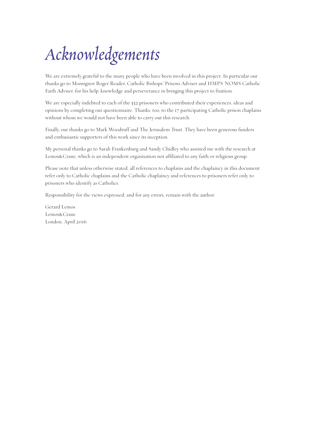# *Acknowledgements*

We are extremely grateful to the many people who have been involved in this project. In particular our thanks go to Monsignor Roger Reader, Catholic Bishops' Prisons Adviser and HMPS/NOMS Catholic Faith Adviser, for his help, knowledge and perseverance in bringing this project to fruition.

We are especially indebted to each of the 332 prisoners who contributed their experiences, ideas and opinions by completing our questionnaire. Thanks, too, to the 17 participating Catholic prison chaplains without whom we would not have been able to carry out this research.

Finally, our thanks go to Mark Woodruff and The Jerusalem Trust. They have been generous funders and enthusiastic supporters of this work since its inception.

My personal thanks go to Sarah Frankenburg and Sandy Chidley who assisted me with the research at Lemos&Crane, which is an independent organisation not affiliated to any faith or religious group.

Please note that unless otherwise stated, all references to chaplains and the chaplaincy in this document refer only to Catholic chaplains and the Catholic chaplaincy and references to prisoners refer only to prisoners who identify as Catholics.

Responsibility for the views expressed, and for any errors, remain with the author.

Gerard Lemos Lemos&Crane London, April 2016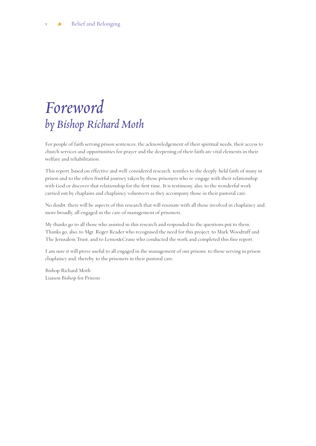# *Foreword by Bishop Richard Moth*

For people of faith serving prison sentences, the acknowledgement of their spiritual needs, their access to church services and opportunities for prayer and the deepening of their faith are vital elements in their welfare and rehabilitation.

This report, based on effective and well-considered research, testifies to the deeply-held faith of many in prison and to the often fruitful journey taken by those prisoners who re-engage with their relationship with God or discover that relationship for the first time. It is testimony, also, to the wonderful work carried out by chaplains and chaplaincy volunteers as they accompany those in their pastoral care.

No doubt, there will be aspects of this research that will resonate with all those involved in chaplaincy and, more broadly, all engaged in the care of management of prisoners.

My thanks go to all those who assisted in this research and responded to the questions put to them. Thanks go, also, to Mgr. Roger Reader who recognised the need for this project, to Mark Woodruff and The Jerusalem Trust, and to Lemos&Crane who conducted the work and completed this fine report.

I am sure it will prove useful to all engaged in the management of our prisons, to those serving in prison chaplaincy and, thereby, to the prisoners in their pastoral care.

Bishop Richard Moth Liaison Bishop for Prisons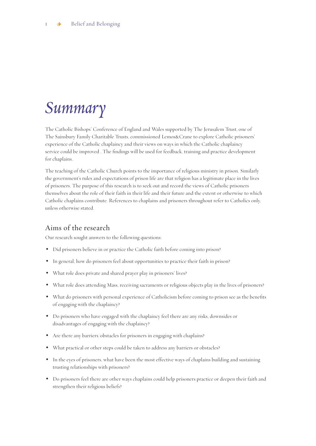# *Summary*

The Catholic Bishops' Conference of England and Wales supported by The Jerusalem Trust, one of The Sainsbury Family Charitable Trusts, commissioned Lemos&Crane to explore Catholic prisoners' experience of the Catholic chaplaincy and their views on ways in which the Catholic chaplaincy service could be improved . The findings will be used for feedback, training and practice development for chaplains.

The teaching of the Catholic Church points to the importance of religious ministry in prison. Similarly the government's rules and expectations of prison life are that religion has a legitimate place in the lives of prisoners. The purpose of this research is to seek out and record the views of Catholic prisoners themselves about the role of their faith in their life and their future and the extent or otherwise to which Catholic chaplains contribute. References to chaplains and prisoners throughout refer to Catholics only, unless otherwise stated.

### Aims of the research

Our research sought answers to the following questions:

- Did prisoners believe in or practice the Catholic faith before coming into prison?
- In general, how do prisoners feel about opportunities to practice their faith in prison?
- What role does private and shared prayer play in prisoners' lives?
- What role does attending Mass, receiving sacraments or religious objects play in the lives of prisoners?
- What do prisoners with personal experience of Catholicism before coming to prison see as the benefits of engaging with the chaplaincy?
- Do prisoners who have engaged with the chaplaincy feel there are any risks, downsides or disadvantages of engaging with the chaplaincy?
- Are there any barriers/obstacles for prisoners in engaging with chaplains?
- What practical or other steps could be taken to address any barriers or obstacles?
- In the eyes of prisoners, what have been the most effective ways of chaplains building and sustaining trusting relationships with prisoners?
- Do prisoners feel there are other ways chaplains could help prisoners practice or deepen their faith and strengthen their religious beliefs?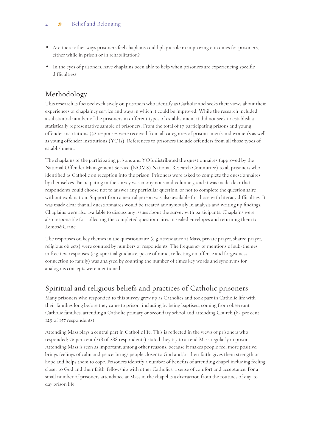- Are there other ways prisoners feel chaplains could play a role in improving outcomes for prisoners, either while in prison or in rehabilitation?
- In the eyes of prisoners, have chaplains been able to help when prisoners are experiencing specific difficulties?

## Methodology

This research is focused exclusively on prisoners who identify as Catholic and seeks their views about their experiences of chaplaincy service and ways in which it could be improved. While the research included a substantial number of the prisoners in different types of establishment it did not seek to establish a statistically representative sample of prisoners. From the total of 17 participating prisons and young offender institutions 332 responses were received from all categories of prisons, men's and women's as well as young offender institutions (YOIs). References to prisoners include offenders from all those types of establishment.

The chaplains of the participating prisons and YOIs distributed the questionnaires (approved by the National Offender Management Service (NOMS) National Research Committee) to all prisoners who identified as Catholic on reception into the prison. Prisoners were asked to complete the questionnaires by themselves. Participating in the survey was anonymous and voluntary, and it was made clear that respondents could choose not to answer any particular question, or not to complete the questionnaire without explanation. Support from a neutral person was also available for those with literacy difficulties. It was made clear that all questionnaires would be treated anonymously in analysis and writing up findings. Chaplains were also available to discuss any issues about the survey with participants. Chaplains were also responsible for collecting the completed questionnaires in sealed envelopes and returning them to Lemos&Crane.

The responses on key themes in the questionnaire (e.g. attendance at Mass, private prayer, shared prayer, religious objects) were counted by numbers of respondents. The frequency of mentions of sub-themes in free text responses (e.g. spiritual guidance, peace of mind, reflecting on offence and forgiveness, connection to family) was analysed by counting the number of times key words and synonyms for analogous concepts were mentioned.

### Spiritual and religious beliefs and practices of Catholic prisoners

Many prisoners who responded to this survey grew up as Catholics and took part in Catholic life with their families long before they came to prison, including by being baptised, coming from observant Catholic families, attending a Catholic primary or secondary school and attending Church (82 per cent, 129 of 157 respondents).

Attending Mass plays a central part in Catholic life. This is reflected in the views of prisoners who responded; 76 per cent (218 of 288 respondents) stated they try to attend Mass regularly in prison. Attending Mass is seen as important, among other reasons, because it makes people feel more positive; brings feelings of calm and peace; brings people closer to God and/or their faith; gives them strength or hope and helps them to cope. Prisoners identify a number of benefits of attending chapel including feeling closer to God and their faith; fellowship with other Catholics; a sense of comfort and acceptance. For a small number of prisoners attendance at Mass in the chapel is a distraction from the routines of day-today prison life.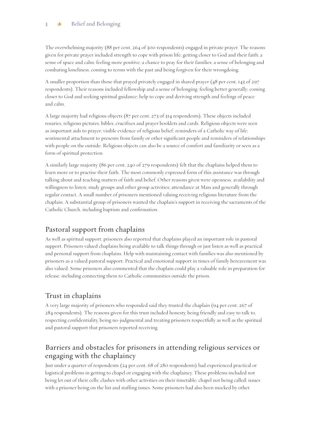The overwhelming majority (88 per cent, 264 of 300 respondents) engaged in private prayer. The reasons given for private prayer included strength to cope with prison life; getting closer to God and their faith; a sense of space and calm; feeling more positive; a chance to pray for their families; a sense of belonging and combating loneliness, coming to terms with the past and being forgiven for their wrongdoing.

A smaller proportion than those that prayed privately engaged in shared prayer (48 per cent, 143 of 297 respondents). Their reasons included fellowship and a sense of belonging; feeling better generally; coming closer to God and seeking spiritual guidance; help to cope and deriving strength and feelings of peace and calm.

A large majority had religious objects (87 per cent, 273 of 314 respondents). These objects included rosaries, religious pictures, bibles, crucifixes and prayer booklets and cards. Religious objects were seen as important aids to prayer; visible evidence of religious belief; reminders of a Catholic way of life; sentimental attachment to presents from family or other significant people and reminders of relationships with people on the outside. Religious objects can also be a source of comfort and familiarity or seen as a form of spiritual protection.

A similarly large majority (86 per cent, 240 of 279 respondents) felt that the chaplains helped them to learn more or to practise their faith. The most commonly expressed form of this assistance was through talking about and teaching matters of faith and belief. Other reasons given were openness, availability and willingness to listen; study groups and other group activities; attendance at Mass and generally through regular contact. A small number of prisoners mentioned valuing receiving religious literature from the chaplain. A substantial group of prisoners wanted the chaplain's support in receiving the sacraments of the Catholic Church, including baptism and confirmation.

## Pastoral support from chaplains

As well as spiritual support, prisoners also reported that chaplains played an important role in pastoral support. Prisoners valued chaplains being available to talk things through or just listen as well as practical and personal support from chaplains. Help with maintaining contact with families was also mentioned by prisoners as a valued pastoral support. Practical and emotional support in times of family bereavement was also valued. Some prisoners also commented that the chaplain could play a valuable role in preparation for release, including connecting them to Catholic communities outside the prison.

### Trust in chaplains

A very large majority of prisoners who responded said they trusted the chaplain (94 per cent, 267 of 284 respondents). The reasons given for this trust included honesty, being friendly and easy to talk to, respecting confidentiality, being no-judgmental and treating prisoners respectfully as well as the spiritual and pastoral support that prisoners reported receiving.

### Barriers and obstacles for prisoners in attending religious services or engaging with the chaplaincy

Just under a quarter of respondents (24 per cent, 68 of 280 respondents) had experienced practical or logistical problems in getting to chapel or engaging with the chaplaincy. These problems included not being let out of their cells; clashes with other activities on their timetable; chapel not being called; issues with a prisoner being on the list and staffing issues. Some prisoners had also been mocked by other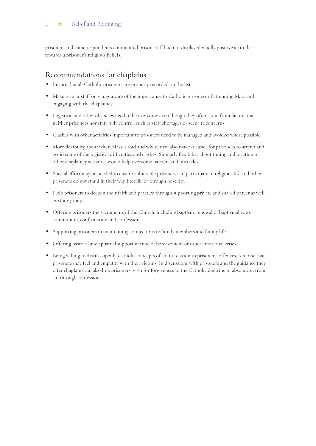prisoners and some respondents commented prison staff had not displayed wholly positive attitudes towards a prisoner's religious beliefs.

### Recommendations for chaplains

- Ensure that all Catholic prisoners are properly recorded on the list.
- Make secular staff on wings aware of the importance to Catholic prisoners of attending Mass and engaging with the chaplaincy.
- Logistical and other obstacles need to be overcome even though they often stem from factors that neither prisoners nor staff fully control, such as staff shortages or security concerns.
- Clashes with other activities important to prisoners need to be managed and avoided where possible.
- More flexibility about when Mass is said and where may also make it easier for prisoners to attend and avoid some of the logistical difficulties and clashes. Similarly flexibility about timing and location of other chaplaincy activities would help overcome barriers and obstacles.
- Special effort may be needed to ensure vulnerable prisoners can participate in religious life and other prisoners do not stand in their way, literally or through hostility.
- Help prisoners to deepen their faith and practice through supporting private and shared prayer as well as study groups.
- Offering prisoners the sacraments of the Church, including baptism, renewal of baptismal vows, communion, confirmation and confession.
- Supporting prisoners in maintaining connections to family members and family life.
- Offering pastoral and spiritual support in time of bereavement or other emotional crises.
- Being willing to discuss openly Catholic concepts of sin in relation to prisoners' offences, remorse that prisoners may feel and empathy with their victims. In discussions with prisoners and the guidance they offer chaplains can also link prisoners' wish for forgiveness to the Catholic doctrine of absolution from sin through confession.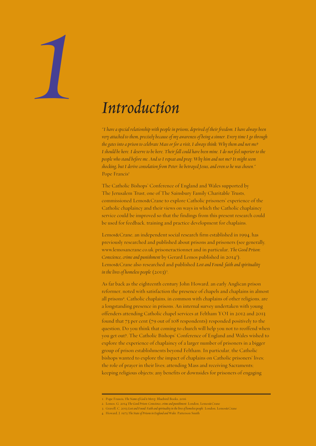# *1*

# *Introduction*

*"I have a special relationship with people in prisons, deprived of their freedom. I have always been very attached to them, precisely because of my awareness of being a sinner. Every time I go through the gates into a prison to celebrate Mass or for a visit, I always think: Why them and not me? I should be here. I deserve to be here. Their fall could have been mine. I do not feel superior to the people who stand before me. And so I repeat and pray: Why him and not me? It might seem shocking, but I derive consolation from Peter: he betrayed Jesus, and even so he was chosen."* Pope Francis<sup>1</sup>

The Catholic Bishops' Conference of England and Wales supported by The Jerusalem Trust, one of The Sainsbury Family Charitable Trusts, commissioned Lemos&Crane to explore Catholic prisoners' experience of the Catholic chaplaincy and their views on ways in which the Catholic chaplaincy service could be improved so that the findings from this present research could be used for feedback, training and practice development for chaplains.

Lemos&Crane, an independent social research firm established in 1994, has previously researched and published about prisons and prisoners (see generally, www.lemosancrane.co.uk/prisoneractionnet and in particular, *The Good Prison:*  Conscience, crime and punishment by Gerard Lemos published in 2014<sup>2</sup>). Lemos&Crane also researched and published *Lost and Found: faith and spirituality in the lives of homeless people* (2013)<sup>3</sup> .

As far back as the eighteenth century John Howard, an early Anglican prison reformer, noted with satisfaction the presence of chapels and chaplains in almost all prisons<sup>4</sup>. Catholic chaplains, in common with chaplains of other religions, are a longstanding presence in prisons. An internal survey undertaken with young offenders attending Catholic chapel services at Feltham YOI in 2012 and 2013 found that 73 per cent (79 out of 108 respondents) responded positively to the question, Do you think that coming to church will help you not to reoffend when you get out?. The Catholic Bishops' Conference of England and Wales wished to explore the experience of chaplaincy of a larger number of prisoners in a bigger group of prison establishments beyond Feltham. In particular, the Catholic bishops wanted to explore the impact of chaplains on Catholic prisoners' lives; the role of prayer in their lives; attending Mass and receiving Sacraments; keeping religious objects; any benefits or downsides for prisoners of engaging

<sup>1.</sup> Pope Francis*, The Name of God is Mercy*. Bluebird Books, 2016

<sup>2.</sup> Lemos, G. 2014 *The Good Prison: Conscience, crime and punishment*. London, Lemos&Crane

<sup>3.</sup> Gravell, C. 2013 *Lost and Found: Faith and spirituality in the lives of homelesspeople*. London, Lemos&Crane

<sup>4.</sup> Howard, J. 1973 *The State of Prisons in England and Wales*. Patterson Smith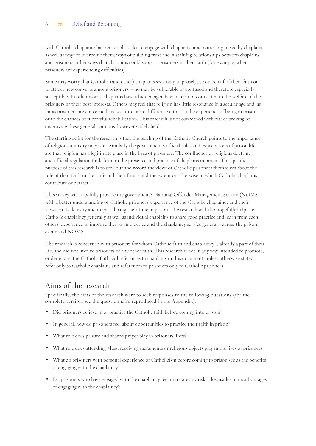with Catholic chaplains; barriers or obstacles to engage with chaplains or activities organised by chaplains as well as ways to overcome them; ways of building trust and sustaining relationships between chaplains and prisoners; other ways that chaplains could support prisoners in their faith (for example, when prisoners are experiencing difficulties).

Some may worry that Catholic (and other) chaplains seek only to proselytise on behalf of their faith or to attract new converts among prisoners, who may be vulnerable or confused and therefore especially susceptible. In other words, chaplains have a hidden agenda which is not connected to the welfare of the prisoners or their best interests. Others may feel that religion has little resonance in a secular age and, as far as prisoners are concerned, makes little or no difference either to the experience of being in prison or to the chances of successful rehabilitation. This research is not concerned with either proving or disproving these general opinions, however widely held.

The starting point for the research is that the teaching of the Catholic Church points to the importance of religious ministry in prison. Similarly the government's official rules and expectations of prison life are that religion has a legitimate place in the lives of prisoners. The confluence of religious doctrine and official regulation finds form in the presence and practice of chaplains in prison. The specific purpose of this research is to seek out and record the views of Catholic prisoners themselves about the role of their faith in their life and their future and the extent or otherwise to which Catholic chaplains contribute or detract.

This survey will hopefully provide the government's National Offender Management Service (NOMS) with a better understanding of Catholic prisoners' experience of the Catholic chaplaincy and their views on its delivery and impact during their time in prison. The research will also hopefully help the Catholic chaplaincy generally as well as individual chaplains to share good practice and learn from each others' experience to improve their own practice and the chaplaincy service generally across the prison estate and NOMS.

The research is concerned with prisoners for whom Catholic faith and chaplaincy is already a part of their life, and did not involve prisoners of any other faith. This research is not in any way intended to promote, or denigrate, the Catholic faith. All references to chaplains in this document, unless otherwise stated, refer only to Catholic chaplains and references to prisoners only to Catholic prisoners.

### Aims of the research

Specifically, the aims of the research were to seek responses to the following questions (for the complete version, see the questionnaire reproduced in the Appendix):

- Did prisoners believe in or practice the Catholic faith before coming into prison?
- In general, how do prisoners feel about opportunities to practice their faith in prison?
- What role does private and shared prayer play in prisoners' lives?
- What role does attending Mass, receiving sacraments or religious objects play in the lives of prisoners?
- What do prisoners with personal experience of Catholicism before coming to prison see as the benefits of engaging with the chaplaincy?
- Do prisoners who have engaged with the chaplaincy feel there are any risks, downsides or disadvantages of engaging with the chaplaincy?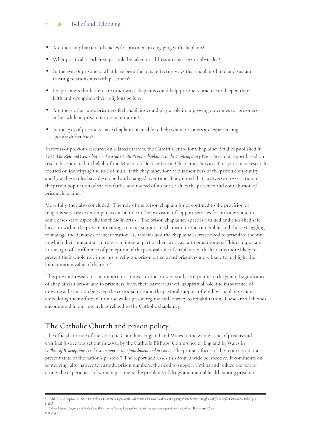### $7 \cdot \bullet$  Belief and Belonging

- Are there any barriers/obstacles for prisoners in engaging with chaplains?
- What practical or other steps could be taken to address any barriers or obstacles?
- In the eyes of prisoners, what have been the most effective ways that chaplains build and sustain trusting relationships with prisoners?
- Do prisoners think there are other ways chaplains could help prisoners practice or deepen their faith and strengthen their religious beliefs?
- Are there other ways prisoners feel chaplains could play a role in improving outcomes for prisoners, either while in prison or in rehabilitation?
- In the eyes of prisoners, have chaplains been able to help when prisoners are experiencing specific difficulties?

In terms of previous research on related matters, the Cardiff Centre for Chaplaincy Studies published in 2011 *The Role and Contribution of a Multi-Faith Prison Chaplaincy to the Contemporary Prison Service*, a report based on research conducted on behalf of the Ministry of Justice Prison Chaplaincy Service. This particular research focused on identifying the role of multi-faith chaplaincy for various members of the prison community and how these roles have developed and changed over time. They noted that: 'a diverse cross-section of the prison population of various faiths, and indeed of no faith, values the presence and contribution of prison chaplaincy'5 .

More fully, they also concluded: 'The role of the prison chaplain is not confined to the provision of religious services; extending to a central role in the provision of support services for prisoners, and in some cases staff, especially for those in crisis….The prison chaplaincy space is a valued and cherished safe location within the prison; providing a crucial support mechanism for the vulnerable, and those struggling to manage the demands of incarceration….Chaplains and the chaplaincy service need to articulate the way in which their humanitarian role is an integral part of their work as faith practitioners. This is important in the light of a difference of perception of the pastoral role of chaplains; with chaplains more likely to present their whole role in terms of religion; prison officers and prisoners more likely to highlight the humanitarian value of the role.'6

This previous research is an important context for the present study as it points to the general significance of chaplains in prison and in prisoners' lives; their pastoral as well as spiritual role; the importance of drawing a distinction between the custodial role and the pastoral support offered by chaplains while embedding their efforts within the wider prison regime and journey to rehabilitation. These are all themes encountered in our research as related to the Catholic chaplaincy.

### The Catholic Church and prison policy

The official attitude of the Catholic Church in England and Wales to the whole issue of prisons and criminal justice was set out in 2004 by the Catholic Bishops' Conference of England in Wales in *A Place of Redemption: A Christian approach to punishment and prisons* <sup>7</sup> . The primary focus of the report is on 'the present state of the nation's prisons.'8 The report addresses this from a wide perspective. It comments on sentencing, alternatives to custody, prison numbers, the need to support victims and reduce the fear of crime, the experiences of women prisoners, the problems of drugs and mental health among prisoners,

<sup>5.</sup> Todd, A. and Tipton, L. 2011 *The Role and Contribution of a Multi-Faith Prison Chaplaincy to the Contemporary Prison Service Cardiff, Cardiff Centre for Chaplaincy Studies*. p. 3 6. *Ibid*.

<sup>7.</sup> *Catholic Bishops' Conference of England and Wales 2004 A Place of Redemption: A Christian approach to punishment and prisons*. Burns and Oats 8. *Ibid*. p. 10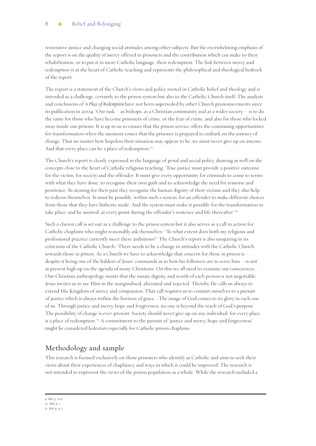restorative justice and changing social attitudes among other subjects. But the overwhelming emphasis of the report is on the quality of mercy offered to prisoners and the contribution which can make to their rehabilitation, or to put it in more Catholic language, their redemption. The link between mercy and redemption is at the heart of Catholic teaching and represents the philosophical and theological bedrock of the report.

The report is a statement of the Church's views and policy rooted in Catholic belief and theology and is intended as a challenge, certainly to the prison system but also to the Catholic Church itself. The analysis and conclusions of *A Place of Redemption* have not been superseded by other Church pronouncements since its publication in 2004: 'Our task – as bishops, as a Christian community and as a wider society – is to do the same for those who have become prisoners of crime, or the fear of crime, and also for those who locked away inside our prisons. It is up to us to ensure that the prison service offers the continuing opportunities for transformation when the moment comes that the prisoner is prepared to embark on the journey of change. That no matter how hopeless their situation may appear to be, we must never give up on anyone. And that every place can be a place of redemption.'9

The Church's report is clearly expressed in the language of penal and social policy, drawing as well on the concepts close to the heart of Catholic religious teaching: 'True justice must provide a positive outcome for the victim, for society and the offender. It must give every opportunity for criminals to come to terms with what they have done, to recognise their own guilt and to acknowledge the need for remorse and penitence. In atoning for their past they recognise the human dignity of their victims and they also help to redeem themselves. It must be possible, within such a system, for an offender to make different choices from those that they have hitherto made. And the system must make it possible for the transformation to take place, and be assisted, at every point during the offender's sentence and life thereafter.'10

Such a clarion call is set out as a challenge to the prison system but it also serves as a call to action for Catholic chaplains who might reasonably ask themselves: "To what extent does both my religious and professional practice currently meet these ambitions?" The Church's report is also unsparing in its criticisms of the Catholic Church: 'There needs to be a change in attitudes with the Catholic Church towards those in prison. As a Church we have to acknowledge that concern for those in prison is – despite it being one of the baldest of Jesus' commands as to how his followers are to serve him – is not at present high up on the agenda of many Christians. On this we all need to examine our consciences... Our Christian anthropology insists that the innate dignity and worth of each person is not negotiable. Jesus invites us to see Him in the marginalised, alienated and rejected. Thereby He calls us always to extend His Kingdom of mercy and compassion. That call requires us to commit ourselves to a pursuit of justice which is always within the horizon of grace ...The image of God comes to its glory in each one of us. Through justice and mercy, hope and forgiveness, no one is beyond the reach of God's purpose. The possibility of change is ever-present. Society should never give up on any individual, for every place is a place of redemption.'<sup>11</sup> A commitment to the pursuit of 'justice and mercy, hope and forgiveness' might be considered lodestars especially for Catholic prison chaplains.

### Methodology and sample

This research is focused exclusively on those prisoners who identify as Catholic and aims to seek their views about their experiences of chaplaincy and ways in which it could be improved. The research is not intended to represent the views of the prison population as a whole. While the research included a

9. *Ibid*. p. 100 10. *Ibid*. p. 1 11. *Ibid*. p. 4-5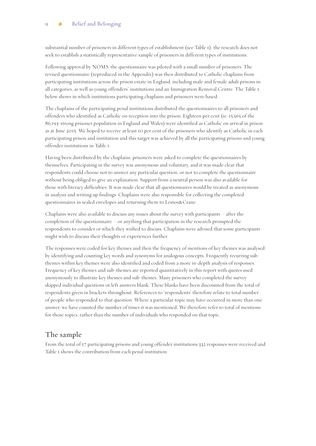substantial number of prisoners in different types of establishment (see Table 1), the research does not seek to establish a statistically representative sample of prisoners in different types of institutions.

Following approval by NOMS, the questionnaire was piloted with a small number of prisoners. The revised questionnaire (reproduced in the Appendix) was then distributed to Catholic chaplains from participating institutions across the prison estate in England, including male and female adult prisons in all categories, as well as young offenders' institutions and an Immigration Removal Centre. The Table 1 below shows in which institutions participating chaplains and prisoners were based.

The chaplains of the participating penal institutions distributed the questionnaires to all prisoners and offenders who identified as Catholic on reception into the prison. Eighteen per cent (ie, 15,565 of the 86,193-strong prisoner population in England and Wales) were identified as Catholic on arrival in prison as at June 2015. We hoped to receive at least 10 per cent of the prisoners who identify as Catholic in each participating prison and institution and this target was achieved by all the participating prisons and young offender institutions in Table 1.

Having been distributed by the chaplains, prisoners were asked to complete the questionnaires by themselves. Participating in the survey was anonymous and voluntary, and it was made clear that respondents could choose not to answer any particular question, or not to complete the questionnaire without being obliged to give an explanation. Support from a neutral person was also available for those with literacy difficulties. It was made clear that all questionnaires would be treated as anonymous in analysis and writing up findings. Chaplains were also responsible for collecting the completed questionnaires in sealed envelopes and returning them to Lemos&Crane.

Chaplains were also available to discuss any issues about the survey with participants – after the completion of the questionnaire – or anything that participation in the research prompted the respondents to consider or which they wished to discuss. Chaplains were advised that some participants might wish to discuss their thoughts or experiences further.

The responses were coded for key themes and then the frequency of mentions of key themes was analysed by identifying and counting key words and synonyms for analogous concepts. Frequently recurring subthemes within key themes were also identified and coded from a more in-depth analysis of responses. Frequency of key themes and sub-themes are reported quantitatively in this report with quotes used anonymously to illustrate key themes and sub-themes. Many prisoners who completed the survey skipped individual questions or left answers blank. These blanks have been discounted from the total of respondents given in brackets throughout. References to 'respondents' therefore relate to total number of people who responded to that question. Where a particular topic may have occurred in more than one answer, we have counted the number of times it was mentioned. We therefore refer to total of mentions for those topics, rather than the number of individuals who responded on that topic.

### The sample

From the total of 17 participating prisons and young offender institutions 332 responses were received and Table 1 shows the contribution from each penal institution.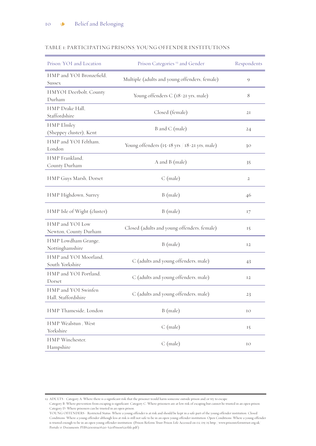| Prison/YOI and Location                    | Prison Categories <sup>12</sup> and Gender    | Respondents    |
|--------------------------------------------|-----------------------------------------------|----------------|
| HMP and YOI Bronzefield,<br>Sussex         | Multiple (adults and young offenders, female) | 9              |
| HMYOI Deerbolt, County<br>Durham           | Young offenders C (18-21 yrs, male)           | 8              |
| HMP Drake Hall,<br>Staffordshire           | Closed (female)                               | 2I             |
| HMP Elmley<br>(Sheppey cluster), Kent      | B and C (male)                                | 24             |
| HMP and YOI Feltham,<br>London             | Young offenders (15-18 yrs / 18-21 yrs, male) | 30             |
| HMP Frankland,<br>County Durham            | A and B (male)                                | 35             |
| HMP Guys Marsh, Dorset                     | $C$ (male)                                    | $\overline{2}$ |
| HMP Highdown, Surrey                       | B (male)                                      | 46             |
| HMP Isle of Wight (cluster)                | B (male)                                      | 17             |
| HMP and YOI Low<br>Newton, County Durham   | Closed (adults and young offenders, female)   | 15             |
| HMP Lowdham Grange,<br>Nottinghamshire     | B (male)                                      | 12             |
| HMP and YOI Moorland,<br>South Yorkshire   | C (adults and young offenders, male)          | 43             |
| HMP and YOI Portland,<br>Dorset            | C (adults and young offenders, male)          | 12             |
| HMP and YOI Swinfen<br>Hall, Staffordshire | C (adults and young offenders, male)          | 23             |
| HMP Thameside, London                      | B (male)                                      | IO             |
| HMP Wealstun, West<br>Yorkshire            | $C$ (male)                                    | 15             |
| HMP Winchester,<br>Hampshire               | $C$ (male)                                    | IO             |

### TABLE 1: PARTICIPATING PRISONS/YOUNG OFFENDER INSTITUTIONS

<sup>12.</sup> ADULTS - Category A: Where there is a significant risk that the prisoner would harm someone outside prison and/or try to escape.

Category B: Where prevention from escaping is significant. Category C: Where prisoners are at low risk of escaping but cannot be trusted in an open prison. Category D: Where prisoners can be trusted in an open prison.

YOUNG OFFENDERS - Restricted Status: Where a young offender is at risk and should be kept in a safe part of the young offender institution. Closed Conditions: Where a young offender although less at risk is still not safe to be in an open young offender institution. Open Conditions: Where a young offender is trusted enough to be in an open young offender institution. (Prison Reform Trust Prison Life Accessed on 02/09/15 http://www.prisonreformtrust.org.uk/ Portals/0/Documents/PIB%20extract%20-%20Prison%20life.pdf )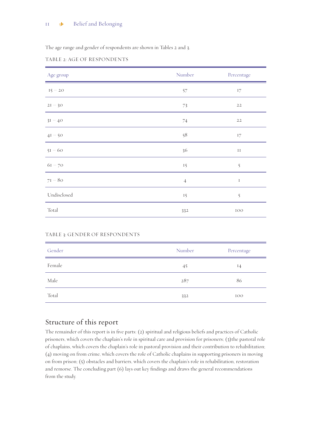The age range and gender of respondents are shown in Tables 2 and 3.

### TABLE 2: AGE OF RESPONDENTS

| Age group   | Number         | Percentage                 |
|-------------|----------------|----------------------------|
| $15 - 20$   | 57             | $\ensuremath{\mathrm{I7}}$ |
| $2I - 30$   | 73             | $2\sqrt{2}$                |
| $3I - 40$   | $74\,$         | $2\sqrt{2}$                |
| $4I - 50$   | 58             | 17                         |
| $5I - 60$   | 36             | $\rm II$                   |
| $61 - 70$   | 15             | $\tilde{S}$                |
| $7I - 80$   | $\overline{4}$ | $\rm I$                    |
| Undisclosed | 15             | $\tilde{5}$                |
| Total       | 332            | IOO                        |

| Gender | Number | Percentage |
|--------|--------|------------|
| Female | 45     | $^{14}$    |
| Male   | 287    | 86         |
| Total  | 332    | 100        |

### Structure of this report

The remainder of this report is in five parts: (2) spiritual and religious beliefs and practices of Catholic prisoners, which covers the chaplain's role in spiritual care and provision for prisoners; (3)the pastoral role of chaplains, which covers the chaplain's role in pastoral provision and their contribution to rehabilitation; (4) moving on from crime, which covers the role of Catholic chaplains in supporting prisoners in moving on from prison; (5) obstacles and barriers, which covers the chaplain's role in rehabilitation, restoration and remorse. The concluding part (6) lays out key findings and draws the general recommendations from the study.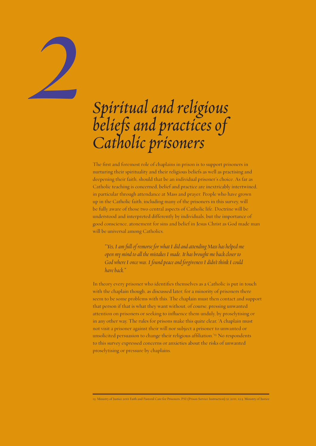# *Spiritual and religious beliefsand practices of Catholic prisoners*

*2*

The first and foremost role of chaplains in prison is to support prisoners in nurturing their spirituality and their religious beliefs as well as practising and deepening their faith, should that be an individual prisoner's choice. As far as Catholic teaching is concerned, belief and practice are inextricably intertwined, in particular through attendance at Mass and prayer. People who have grown up in the Catholic faith, including many of the prisoners in this survey, will be fully aware of those two central aspects of Catholic life. Doctrine will be understood and interpreted differently by individuals, but the importance of good conscience, atonement for sins and belief in Jesus Christ as God made man will be universal among Catholics.

*"Yes, I am full of remorse for what I did and attending Mass has helped me open my mind to all the mistakes I made. It has brought me back closer to God where I once was. I found peace and forgiveness I didn't think I could have back."* 

In theory every prisoner who identifies themselves as a Catholic is put in touch with the chaplain though, as discussed later, for a minority of prisoners there seem to be some problems with this. The chaplain must then contact and support that person if that is what they want without, of course, pressing unwanted attention on prisoners or seeking to influence them unduly, by proselytising or in any other way. The rules for prisons make this quite clear, 'A chaplain must not visit a prisoner against their will nor subject a prisoner to unwanted or unsolicited persuasion to change their religious affiliation.'13 No respondents to this survey expressed concerns or anxieties about the risks of unwanted proselytising or pressure by chaplains.

13. Ministry of Justice 2011 Faith and Pastoral Care for Prisoners, PSI (Prison Service Instruction) 51/2011, 12.3, Ministry of Justice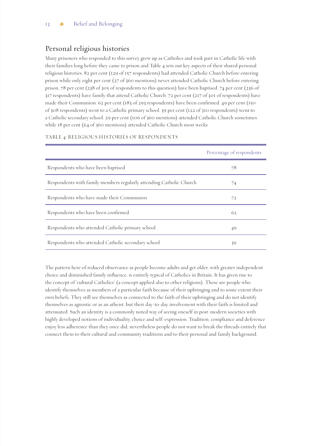### Personal religious histories

Many prisoners who responded to this survey grew up as Catholics and took part in Catholic life with their families long before they came to prison and Table 4 sets out key aspects of their shared personal religious histories. 82 per cent (129 of 157 respondents) had attended Catholic Church before entering prison while only eight per cent (27 of 360 mentions) never attended Catholic Church before entering prison. 78 per cent (238 of 305 of respondents to this question) have been baptised. 74 per cent (236 of 317 respondents) have family that attend Catholic Church. 72 per cent (217 of 301 of respondents) have made their Communion. 62 per cent (183 of 293 respondents) have been confirmed. 49 per cent (150 of 308 respondents) went to a Catholic primary school. 39 per cent (122 of 310 respondents) went to a Catholic secondary school. 29 per cent (106 of 360 mentions) attended Catholic Church sometimes while 18 per cent (64 of 360 mentions) attended Catholic Church most weeks.

|                                                                     | Percentage of respondents |
|---------------------------------------------------------------------|---------------------------|
| Respondents who have been baptised                                  | 78                        |
| Respondents with family members regularly attending Catholic Church | 74                        |
| Respondents who have made their Communion                           | 72                        |
| Respondents who have been confirmed                                 | 62                        |
| Respondents who attended Catholic primary school                    | 49                        |
| Respondents who attended Catholic secondary school                  | 39                        |

### TABLE 4: RELIGIOUS HISTORIES OF RESPONDENTS

The pattern here of reduced observance as people become adults and get older, with greater independent choice and diminished family influence, is entirely typical of Catholics in Britain. It has given rise to the concept of 'cultural Catholics' (a concept applied also to other religions). These are people who identify themselves as members of a particular faith because of their upbringing and to some extent their own beliefs. They still see themselves as connected to the faith of their upbringing and do not identify themselves as agnostic or as an atheist, but their day-to-day involvement with their faith is limited and attenuated. Such an identity is a commonly noted way of seeing oneself in post-modern societies with highly developed notions of individuality, choice and self-expression. Tradition, compliance and deference enjoy less adherence than they once did, nevertheless people do not want to break the threads entirely that connect them to their cultural and community traditions and to their personal and family background.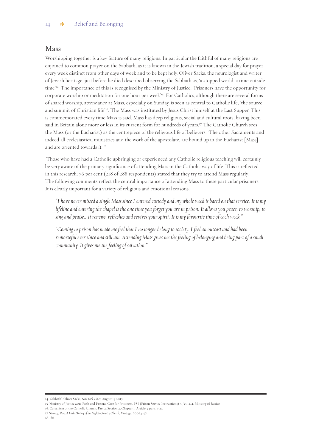### Mass

Worshipping together is a key feature of many religions. In particular the faithful of many religions are enjoined to common prayer on the Sabbath, as it is known in the Jewish tradition, a special day for prayer every week distinct from other days of week and to be kept holy. Oliver Sacks, the neurologist and writer of Jewish heritage, just before he died described observing the Sabbath as, 'a stopped world, a time outside time'14. The importance of this is recognised by the Ministry of Justice, 'Prisoners have the opportunity for corporate worship or meditation for one hour per week'<sup>15</sup>. For Catholics, although there are several forms of shared worship, attendance at Mass, especially on Sunday, is seen as central to Catholic life, 'the source and summit of Christian life<sup>'16</sup>. The Mass was instituted by Jesus Christ himself at the Last Supper. This is commemorated every time Mass is said. Mass has deep religious, social and cultural roots, having been said in Britain alone more or less in its current form for hundreds of years.<sup>17</sup> The Catholic Church sees the Mass (or the Eucharist) as the centrepiece of the religious life of believers, 'The other Sacraments and indeed all ecclesiastical ministries and the work of the apostolate, are bound up in the Eucharist [Mass] and are oriented towards it.'18

 Those who have had a Catholic upbringing or experienced any Catholic religious teaching will certainly be very aware of the primary significance of attending Mass in the Catholic way of life. This is reflected in this research; 76 per cent (218 of 288 respondents) stated that they try to attend Mass regularly. The following comments reflect the central importance of attending Mass to these particular prisoners. It is clearly important for a variety of religious and emotional reasons.

*"I have never missed a single Mass since I entered custody and my whole week is based on that service. It is my lifeline and entering the chapel is the one time you forget you are in prison. It allows you peace, to worship, to sing and praise...It renews, refreshes and revives your spirit. It is my favourite time of each week."*

*"Coming to prison has made me feel that I no longer belong to society. I feel an outcast and had been remorseful ever since and still am. Attending Mass gives me the feeling of belonging and being part of a small community. It gives me the feeling of salvation."*

<sup>14. &#</sup>x27;Sabbath', Oliver Sacks, *New York Times*, August 14 2015

<sup>15.</sup> Ministry of Justice 2011 Faith and Pastoral Care for Prisoners, PSI (Prison Service Instructions) 51/2011, 4, Ministry of Justice

<sup>16.</sup> Catechism of the Catholic Church, Part 2, Section 2, Chapter 1, Article 3, para. 1324

<sup>17.</sup> Strong, Roy, *A Little History of the English Country Church*, Vintage, 2007, p48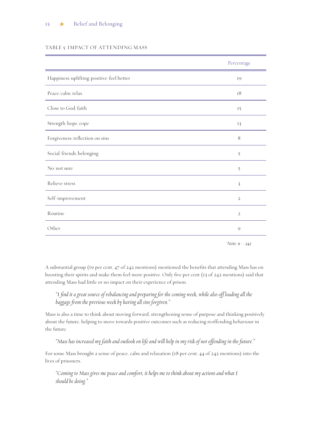### TABLE 5: IMPACT OF ATTENDING MASS

|                                          | Percentage              |
|------------------------------------------|-------------------------|
| Happiness/uplifting/positive/feel better | 19                      |
| Peace/calm/relax                         | 18                      |
| Close to God/faith                       | 15                      |
| Strength/hope/cope                       | 13                      |
| Forgiveness/reflection on sins           | 8                       |
| Social/friends/belonging                 | $\tilde{5}$             |
| No/not sure                              | 5                       |
| Relieve stress                           | $\overline{\mathbf{3}}$ |
| Self-improvement                         | $\mathbf{2}$            |
| Routine                                  | $\mathbf{2}$            |
| Other                                    | $\mathcal{Q}$           |
|                                          |                         |

*Note: n = 242*

A substantial group (19 per cent, 47 of 242 mentions) mentioned the benefits that attending Mass has on boosting their spirits and make them feel more positive. Only five per cent (13 of 242 mentions) said that attending Mass had little or no impact on their experience of prison.

### *"I find it a great source of rebalancing and preparing for the coming week, while also off loading all the baggage from the previous week by having all sins forgiven."*

Mass is also a time to think about moving forward, strengthening sense of purpose and thinking positively about the future, helping to move towards positive outcomes such as reducing reoffending behaviour in the future.

*"Mass has increased my faith and outlook on life and will help in my risk of not offending in the future."*

For some Mass brought a sense of peace, calm and relaxation (18 per cent, 44 of 242 mentions) into the lives of prisoners.

*"Coming to Mass gives me peace and comfort, it helps me to think about my actions and what I should be doing."*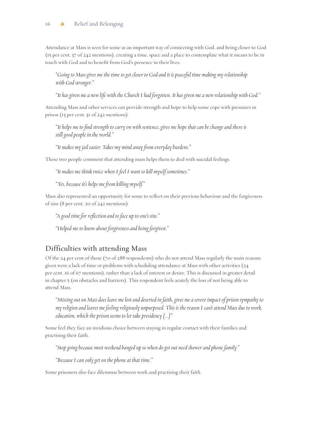### 16 **\*** Belief and Belonging

Attendance at Mass is seen for some as an important way of connecting with God, and being closer to God (15 per cent, 37 of 242 mentions), creating a time, space and a place to contemplate what it means to be in touch with God and to benefit from God's presence in their lives.

*"Going to Mass gives me the time to get closer to God and it is peaceful time making my relationship with God stronger."* 

*"It has given me a new life with the Church I had forgotten. It has given me a new relationship with God."*

Attending Mass and other services can provide strength and hope to help some cope with pressures in prison (13 per cent, 31 of 242 mentions).

*"It helps me to find strength to carry on with sentence, gives me hope that can be change and there is still good people in the world."*

*"It makes my jail easier. Takes my mind away from everyday burdens."*

These two people comment that attending mass helps them to deal with suicidal feelings.

*"It makes me think twice when I feel I want to kill myself sometimes."*

*"Yes, because it's helps me from killing myself."*

Mass also represented an opportunity for some to reflect on their previous behaviour and the forgiveness of sins (8 per cent, 20 of 242 mentions).

*"A good time for reflection and to face up to one's sins."*

*"Helped me to know about forgiveness and being forgiven."*

### Difficulties with attending Mass

Of the 24 per cent of those (70 of 288 respondents) who do not attend Mass regularly the main reasons given were a lack of time or problems with scheduling attendance at Mass with other activities (24 per cent, 16 of 67 mentions), rather than a lack of interest or desire. This is discussed in greater detail in chapter 5 (on obstacles and barriers). This respondent feels acutely the loss of not being able to attend Mass.

*"Missing out on Mass does leave me lost and deserted in faith, gives me a severe impact of prison sympathy to my religion and leaves me feeling religiously unpurposed. This is the reason I can't attend Mass due to work, education, which the prison seems to let take presidency [...]"*

Some feel they face an invidious choice between staying in regular contact with their families and practising their faith.

*"Stop going because most weekend banged up so when do get out need shower and phone family."*

*"Because I can only get on the phone at that time."*

Some prisoners also face dilemmas between work and practising their faith.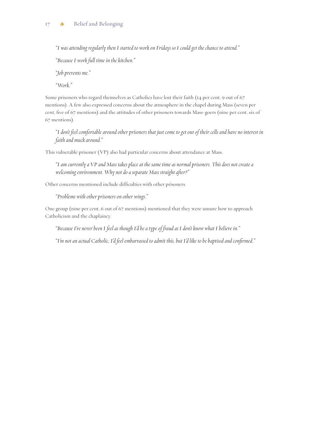*"I was attending regularly then I started to work on Fridays so I could get the chance to attend."*

*"Because I work full time in the kitchen."*

*"Job prevents me."*

*"Work."*

Some prisoners who regard themselves as Catholics have lost their faith (14 per cent, 9 out of 67 mentions). A few also expressed concerns about the atmosphere in the chapel during Mass (seven per cent, five of 67 mentions) and the attitudes of other prisoners towards Mass-goers (nine per cent, six of 67 mentions).

*"I don't feel comfortable around other prisoners that just come to get out of their cells and have no interest in faith and muck around."*

This vulnerable prisoner (VP) also had particular concerns about attendance at Mass.

*"I am currently a VP and Mass takes place at the same time as normal prisoners. This does not create a welcoming environment. Why not do a separate Mass straight after?"*

Other concerns mentioned include difficulties with other prisoners.

*"Problems with other prisoners on other wings."*

One group (nine per cent, 6 out of 67 mentions) mentioned that they were unsure how to approach Catholicism and the chaplaincy.

*"Because I've never been I feel as though I'd be a type of fraud as I don't know what I believe in."*

*"I'm not an actual Catholic, I'd feel embarrassed to admit this, but I'd like to be baptised and confirmed."*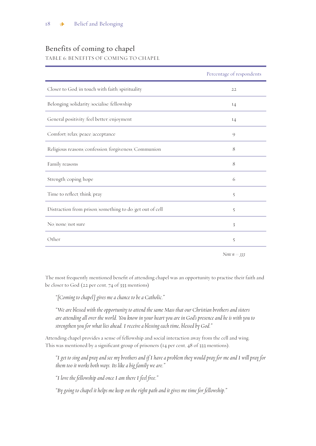### Benefits of coming to chapel

TABLE 6: BENEFITS OF COMING TO CHAPEL

|                                                         | Percentage of respondents |
|---------------------------------------------------------|---------------------------|
| Closer to God/in touch with faith/spirituality          | 22                        |
| Belonging/solidarity/socialise/fellowship               | 14                        |
| General positivity/feel better/enjoyment                | I4                        |
| Comfort/relax/peace/acceptance                          | $\circ$                   |
| Religious reasons/confession/forgiveness/Communion      | 8                         |
| Family reasons                                          | 8                         |
| Strength/coping/hope                                    | 6                         |
| Time to reflect/think/pray                              | $\tilde{5}$               |
| Distraction from prison/something to do/get out of cell | $\tilde{5}$               |
| No/none/not sure                                        | 3                         |
| Other                                                   | 5                         |
|                                                         |                           |

*Note n = 333*

The most frequently mentioned benefit of attending chapel was an opportunity to practise their faith and be closer to God (22 per cent, 74 of 333 mentions)

*"[Coming to chapel] gives me a chance to be a Catholic."*

*"We are blessed with the opportunity to attend the same Mass that our Christian brothers and sisters are attending all over the world. You know in your heart you are in God's presence and he is with you to strengthen you for what lies ahead. I receive a blessing each time, blessed by God."*

Attending chapel provides a sense of fellowship and social interaction away from the cell and wing. This was mentioned by a significant group of prisoners (14 per cent, 48 of 333 mentions).

*"I get to sing and pray and see my brothers and if I have a problem they would pray for me and I will pray for them too it works both ways. Its like a big family we are."* 

*"I love the fellowship and once I am there I feel free."*

*"By going to chapel it helps me keep on the right path and it gives me time for fellowship."*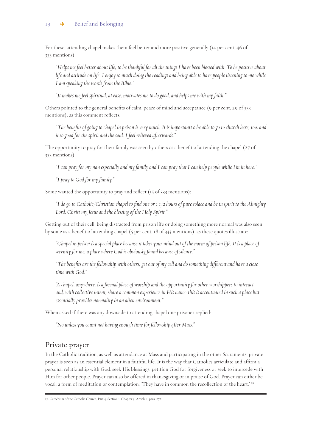For these, attending chapel makes them feel better and more positive generally (14 per cent, 46 of 333 mentions):

*"Helps me feel better about life, to be thankful for all the things I have been blessed with. To be positive about life and attitude on life. I enjoy so much doing the readings and being able to have people listening to me while I am speaking the words from the Bible."*

*"It makes me feel spiritual, at ease, motivates me to do good, and helps me with my faith."*

Others pointed to the general benefits of calm, peace of mind and acceptance (9 per cent, 29 of 333 mentions), as this comment reflects:

*"The benefits of going to chapel in prison is very much. It is importantt o be able to go to church here, too, and it so good for the spirit and the soul. I feel relieved afterwards."*

The opportunity to pray for their family was seen by others as a benefit of attending the chapel (27 of 333 mentions).

*"I can pray for my nan especially and my family and I can pray that I can help people while I'm in here."*

*"I pray to God for my family."*

Some wanted the opportunity to pray and reflect (15 of 333 mentions):

*"I do go to Catholic/Christian chapel to find one or 1 1/2 hours of pure solace and be in spirit to the Almighty Lord, Christ my Jesus and the blessing of the Holy Spirit."*

Getting out of their cell, being distracted from prison life or doing something more normal was also seen by some as a benefit of attending chapel (5 per cent, 18 of 333 mentions), as these quotes illustrate:

*"Chapel in prison is a special place because it takes your mind out of the norm of prison life. It is a place of serenity for me, a place where God is obviously found because of silence."*

*"The benefits are the fellowship with others, get out of my cell and do something different and have a close time with God."*

*"A chapel, anywhere, is a formal place of worship and the opportunity for other worshippers to interact and, with collective intent, share a common experience in His name: this is accentuated in such a place but essentially provides normality in an alien environment."*

When asked if there was any downside to attending chapel one prisoner replied:

*"No unless you count not having enough time for fellowship after Mass."*

### Private prayer

In the Catholic tradition, as well as attendance at Mass and participating in the other Sacraments, private prayer is seen as an essential element in a faithful life. It is the way that Catholics articulate and affirm a personal relationship with God, seek His blessings, petition God for forgiveness or seek to intercede with Him for other people. Prayer can also be offered in thanksgiving or in praise of God. Prayer can either be vocal, a form of meditation or contemplation: 'They have in common the recollection of the heart.' 19

<sup>19.</sup> Catechism of the Catholic Church, Part 4, Section 1, Chapter 3, Article 1, para. 2721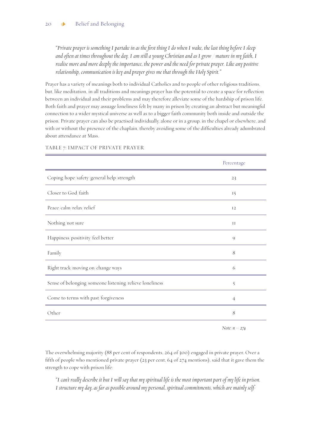*"Private prayer is something I partake in as the first thing I do when I wake, the last thing before I sleep and often at times throughout the day. I am still a young Christian and as I grow / mature in my faith, I realise more and more deeply the importance, the power and the need for private prayer. Like any positive relationship, communication is key and prayer gives me that through the Holy Spirit."*

Prayer has a variety of meanings both to individual Catholics and to people of other religious traditions, but, like meditation, in all traditions and meanings prayer has the potential to create a space for reflection between an individual and their problems and may therefore alleviate some of the hardship of prison life. Both faith and prayer may assuage loneliness felt by many in prison by creating an abstract but meaningful connection to a wider mystical universe as well as to a bigger faith community both inside and outside the prison. Private prayer can also be practised individually, alone or in a group, in the chapel or elsewhere, and with or without the presence of the chaplain, thereby avoiding some of the difficulties already adumbrated about attendance at Mass.

|                                                         | Percentage     |
|---------------------------------------------------------|----------------|
| Coping/hope/safety/general help/strength                | 23             |
| Closer to God/faith                                     | 15             |
| Peace/calm/relax/relief                                 | 12             |
| Nothing/not sure                                        | $_{\rm II}$    |
| Happiness/positivity/feel better                        | $\circ$        |
| Family                                                  | 8              |
| Right track/moving on/change ways                       | 6              |
| Sense of belonging/someone listening/relieve loneliness | 5              |
| Come to terms with past/forgiveness                     | $\overline{4}$ |
| Other                                                   | 8              |

### TABLE 7: IMPACT OF PRIVATE PRAYER

*Note: n = 274*

The overwhelming majority (88 per cent of respondents, 264 of 300) engaged in private prayer. Over a fifth of people who mentioned private prayer (23 per cent, 64 of 274 mentions), said that it gave them the strength to cope with prison life:

*"I can't really describe it but I will say that my spiritual life is the most important part of my life in prison. I structure my day, as far as possible around my personal, spiritual commitments, which are mainly self-*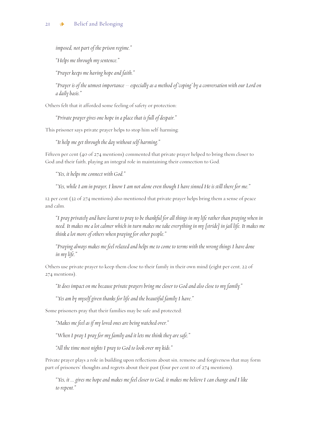*imposed, not part of the prison regime."*

*"Helps me through my sentence."*

*"Prayer keeps me having hope and faith."*

*"Prayer is of the utmost importance – especially as a method of 'coping' by a conversation with our Lord on a daily basis."*

Others felt that it afforded some feeling of safety or protection:

*"Private prayer gives one hope in a place that is full of despair."*

This prisoner says private prayer helps to stop him self-harming:

*"It help me get through the day without self-harming."*

Fifteen per cent (40 of 274 mentions) commented that private prayer helped to bring them closer to God and their faith, playing an integral role in maintaining their connection to God.

*"Yes, it helps me connect with God."*

*"Yes, while I am in prayer, I know I am not alone even though I have sinned He is still there for me."*

12 per cent (32 of 274 mentions) also mentioned that private prayer helps bring them a sense of peace and calm.

*"I pray privately and have learnt to pray to be thankful for all things in my life rather than praying when in need. It makes me a lot calmer which in turn makes me take everything in my [stride] in jail life. It makes me think a lot more of others when praying for other people."*

*"Praying always makes me feel relaxed and helps me to come to terms with the wrong things I have done in my life."*

Others use private prayer to keep them close to their family in their own mind (eight per cent, 22 of 274 mentions).

*"It does impact on me because private prayers bring me closer to God and also close to my family."*

*"Yes am by myself given thanks for life and the beautiful family I have."*

Some prisoners pray that their families may be safe and protected:

*"Makes me feel as if my loved ones are being watched over."*

*"When I pray I pray for my family and it lets me think they are safe."*

*"All the time most nights I pray to God to look over my kids."*

Private prayer plays a role in building upon reflections about sin, remorse and forgiveness that may form part of prisoners' thoughts and regrets about their past (four per cent 10 of 274 mentions)

*"Yes, it ... gives me hope and makes me feel closer to God, it makes me believe I can change and I like to repent."*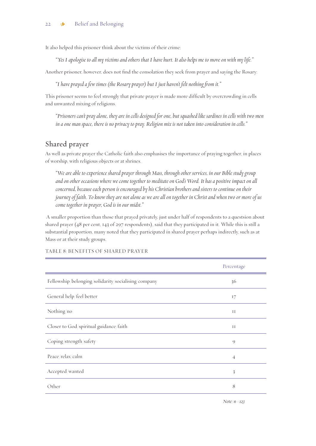It also helped this prisoner think about the victims of their crime:

*"Yes I apologise to all my victims and others that I have hurt. It also helps me to move on with my life."*

Another prisoner, however, does not find the consolation they seek from prayer and saying the Rosary:

*"I have prayed a few times (the Rosary prayer) but I just haven't felt nothing from it."*

This prisoner seems to feel strongly that private prayer is made more difficult by overcrowding in cells and unwanted mixing of religions.

*"Prisoners can't pray alone, they are in cells designed for one, but squashed like sardines in cells with two men in a one man space, there is no privacy to pray. Religion mix is not taken into consideration in cells."*

### Shared prayer

As well as private prayer the Catholic faith also emphasises the importance of praying together, in places of worship, with religious objects or at shrines.

*"We are able to experience shared prayer through Mass, through other services, in our Bible study group and on other occasions where we come together to meditate on God's Word. It has a positive impact on all concerned, because each person is encouraged by his Christian brothers and sisters to continue on their journey of faith. To know they are not alone as we are all on together in Christ and when two or more of us come together in prayer, God is in our midst."*

 A smaller proportion than those that prayed privately, just under half of respondents to a questsion about shared prayer (48 per cent, 143 of 297 respondents), said that they participated in it. While this is still a substantial proportion, many noted that they participated in shared prayer perhaps indirectly, such as at Mass or at their study groups.

|                                                     | Percentage              |
|-----------------------------------------------------|-------------------------|
| Fellowship/belonging/solidarity/socialising/company | 36                      |
| General help/feel better                            | 17                      |
| Nothing/no                                          | $_{\rm II}$             |
| Closer to God/spiritual guidance/faith              | $_{\rm II}$             |
| Coping/strength/safety                              | 9                       |
| Peace/relax/calm                                    | $\overline{4}$          |
| Accepted/wanted                                     | $\overline{\mathbf{3}}$ |
| Other                                               | 8                       |

TABLE 8: BENEFITS OF SHARED PRAYER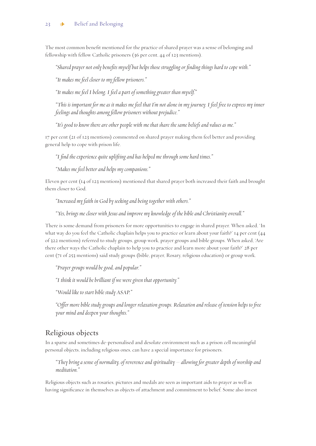The most common benefit mentioned for the practice of shared prayer was a sense of belonging and fellowship with fellow Catholic prisoners (36 per cent, 44 of 123 mentions).

*"Shared prayer not only benefits myself but helps those struggling or finding things hard to cope with."*

*"It makes me feel closer to my fellow prisoners."*

*"It makes me feel I belong. I feel a part of something greater than myself."*

*"This is important for me as it makes me feel that I'm not alone in my journey. I feel free to express my inner feelings and thoughts among fellow prisoners without prejudice."*

*"It's good to know there are other people with me that share the same beliefs and values as me."*

17 per cent (21 of 123 mentions) commented on shared prayer making them feel better and providing general help to cope with prison life.

*"I find the experience quite uplifting and has helped me through some hard times."*

*"Makes me feel better and helps my companions."*

Eleven per cent (14 of 123 mentions) mentioned that shared prayer both increased their faith and brought them closer to God.

*"Increased my faith in God by seeking and being together with others."*

*"Yes, brings me closer with Jesus and improve my knowledge of the bible and Christianity overall."*

There is some demand from prisoners for more opportunities to engage in shared prayer. When asked, 'In what way do you feel the Catholic chaplain helps you to practice or learn about your faith?' 14 per cent (44 of 322 mentions) referred to study groups, group work, prayer groups and bible groups. When asked, 'Are there other ways the Catholic chaplain to help you to practice and learn more about your faith?' 28 per cent (71 of 253 mentions) said study groups (bible, prayer, Rosary, religious education) or group work.

*"Prayer groups would be good, and popular."*

*"I think it would be brilliant if we were given that opportunity."*

*"Would like to start bible study ASAP."*

*"Offer more bible study groups and longer relaxation groups. Relaxation and release of tension helps to free your mind and deepen your thoughts."*

### Religious objects

In a sparse and sometimes de-personalised and desolate environment such as a prison cell meaningful personal objects, including religious ones, can have a special importance for prisoners.

*"They bring a sense of normality, of reverence and spirituality – allowing for greater depth of worship and meditation."*

Religious objects such as rosaries, pictures and medals are seen as important aids to prayer as well as having significance in themselves as objects of attachment and commitment to belief. Some also invest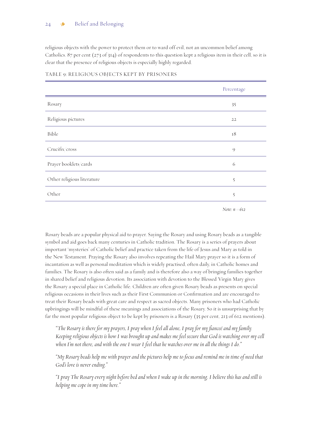### 24  $\bullet$  Belief and Belonging

religious objects with the power to protect them or to ward off evil, not an uncommon belief among Catholics. 87 per cent (273 of 314) of respondents to this question kept a religious item in their cell, so it is clear that the presence of religious objects is especially highly regarded.

|                            | Percentage            |
|----------------------------|-----------------------|
| Rosary                     | 35                    |
| Religious pictures         | 22                    |
| Bible                      | $18\,$                |
| Crucifix/cross             | 9                     |
| Prayer booklets/cards      | 6                     |
| Other religious literature | $\tilde{\mathcal{S}}$ |
| Other                      | $\tilde{5}$           |

### TABLE 9: RELIGIOUS OBJECTS KEPT BY PRISONERS

*Note: n =612*

Rosary beads are a popular physical aid to prayer. Saying the Rosary and using Rosary beads as a tangible symbol and aid goes back many centuries in Catholic tradition. The Rosary is a series of prayers about important 'mysteries' of Catholic belief and practice taken from the life of Jesus and Mary as told in the New Testament. Praying the Rosary also involves repeating the Hail Mary prayer so it is a form of incantation as well as personal meditation which is widely practised, often daily, in Catholic homes and families. The Rosary is also often said as a family and is therefore also a way of bringing families together in shared belief and religious devotion. Its association with devotion to the Blessed Virgin Mary gives the Rosary a special place in Catholic life. Children are often given Rosary beads as presents on special religious occasions in their lives such as their First Communion or Confirmation and are encouraged to treat their Rosary beads with great care and respect as sacred objects. Many prisoners who had Catholic upbringings will be mindful of these meanings and associations of the Rosary. So it is unsurprising that by far the most popular religious object to be kept by prisoners is a Rosary (35 per cent, 213 of 612 mentions).

*"The Rosary is there for my prayers, I pray when I feel all alone, I pray for my fianceé and my family. Keeping religious objects is how I was brought up and makes me feel secure that God is watching over my cell when I'm not there, and with the one I wear I feel that he watches over me in all the things I do."*

*"My Rosary beads help me with prayer and the pictures help me to focus and remind me in time of need that God's love is never ending."*

*"I pray The Rosary every night before bed and when I wake up in the morning. I believe this has and still is helping me cope in my time here."*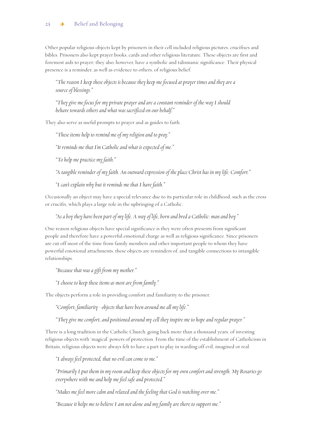Other popular religious objects kept by prisoners in their cell included religious pictures, crucifixes and bibles. Prisoners also kept prayer books, cards and other religious literature. These objects are first and foremost aids to prayer; they also, however, have a symbolic and talismanic significance. Their physical presence is a reminder, as well as evidence to others, of religious belief.

*"The reason I keepthese objects is because they keep me focused at prayer times and they are a source of blessings."*

*"They give me focus for my private prayer and are a constant reminder of the way I should behave towards others and what was sacrificed on our behalf."*

They also serve as useful prompts to prayer and as guides to faith.

*"These items help to remind me of my religion and to pray."*

*"It reminds me that I'm Catholic and what is expected of me."*

*"To help me practice my faith."*

*"A tangible reminder of my faith. An outward expression of the place Christ has in my life. Comfort."*

*"I can't explain why but it reminds me that I have faith."*

Occasionally an object may have a special relevance due to its particular role in childhood, such as the cross or crucifix, which plays a large role in the upbringing of a Catholic.

*"As a boy they have been part of my life. A way of life, born and bred a Catholic: man and boy."*

One reason religious objects have special significance is they were often presents from significant people and therefore have a powerful emotional charge as well as religious significance. Since prisoners are cut off most of the time from family members and other important people to whom they have powerful emotional attachments, these objects are reminders of, and tangible connections to intangible relationships.

*"Because that was a gift from my mother."*

*"I choose to keep these items as most are from family."*

The objects perform a role in providing comfort and familiarity to the prisoner.

*"Comfort; familiarity - objects that have been around me all my life."*

*"They give me comfort, and positioned around my cell they inspire me to hope and regular prayer."*

There is a long tradition in the Catholic Church, going back more than a thousand years, of investing religious objects with 'magical' powers of protection. From the time of the establishment of Catholicism in Britain, religious objects were always felt to have a part to play in warding off evil, imagined or real.

*"I always feel protected, that no evil can come to me."*

*"Primarily I put them in my room and keep these objects for my own comfort and strength. My Rosaries go everywhere with me and help me feel safe and protected."*

*"Makes me feel more calm and relaxed and the feeling that God is watching over me."*

*"Because it helps me to believe I am not alone and my family are there to support me."*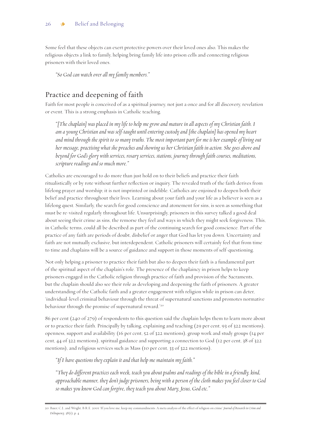Some feel that these objects can exert protective powers over their loved ones also. This makes the religious objects a link to family, helping bring family life into prison cells and connecting religious prisoners with their loved ones.

*"So God can watch over all my family members."*

### Practice and deepening of faith

Faith for most people is conceived of as a spiritual journey, not just a once and for all discovery, revelation or event. This is a strong emphasis in Catholic teaching.

*"[The chaplain] was placed in my life to help me grow and mature in all aspects of my Christian faith. I am a young Christian and was self-taught until entering custody and [the chaplain] has opened my heart and mind through the spirit to so many truths. The most important part for me is her example of living out her message, practising what she preaches and showing us her Christian faith in action. She goes above and beyond for God's glory with services, rosary services, stations, journey through faith courses, meditations, scripture readings and so much more."*

Catholics are encouraged to do more than just hold on to their beliefs and practice their faith ritualistically or by rote without further reflection or inquiry. The revealed truth of the faith derives from lifelong prayer and worship; it is not imprinted or indelible. Catholics are enjoined to deepen both their belief and practice throughout their lives. Learning about your faith and your life as a believer is seen as a lifelong quest. Similarly, the search for good conscience and atonement for sins, is seen as something that must be re-visited regularly throughout life. Unsurprisingly, prisoners in this survey talked a good deal about seeing their crime as sins, the remorse they feel and ways in which they might seek forgiveness. This, in Catholic terms, could all be described as part of the continuing search for good conscience. Part of the practice of any faith are periods of doubt, disbelief or anger that God has let you down. Uncertainty and faith are not mutually exclusive, but interdependent. Catholic prisoners will certainly feel that from time to time and chaplains will be a source of guidance and support in those moments of self-questioning.

Not only helping a prisoner to practice their faith but also to deepen their faith is a fundamental part of the spiritual aspect of the chaplain's role. The presence of the chaplaincy in prison helps to keep prisoners engaged in the Catholic religion through practice of faith and provision of the Sacraments, but the chaplain should also see their role as developing and deepening the faith of prisoners. A greater understanding of the Catholic faith and a greater engagement with religion while in prison can deter, 'individual-level criminal behaviour through the threat of supernatural sanctions and promotes normative behaviour through the promise of supernatural reward.<sup>200</sup>

86 per cent (240 of 279) of respondents to this question said the chaplain helps them to learn more about or to practice their faith. Principally by talking, explaining and teaching (29 per cent, 93 of 322 mentions), openness, support and availability (16 per cent, 52 of 322 mentions), group work and study groups (14 per cent, 44 of 322 mentions), spiritual guidance and supporting a connection to God (12 per cent, 38 of 322 mentions), and religious services such as Mass (10 per cent, 33 of 322 mentions).

*"If I have questions they explain it and that help me maintain my faith."*

*"They do different practices each week, teach you about psalms and readings of the bible in a friendly, kind, approachable manner, they don't judge prisoners, being with a person of the cloth makes you feel closer to God so makes you know God can forgive, they teach you about Mary, Jesus, God etc."*

<sup>20.</sup> Baier, C.J., and Wright, B.R.E. 2001 'If you love me, keep my commandments: A meta analysis of the effect of religion on crime' *Journal of Research in Crime and Delinquency*, 38(1), p. 4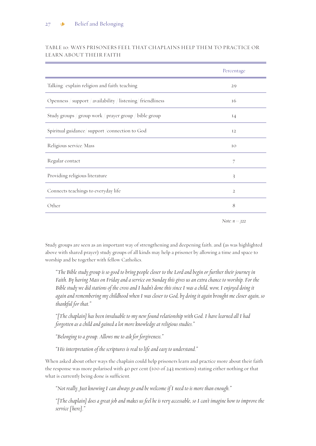|                                                             | Percentage      |
|-------------------------------------------------------------|-----------------|
| Talking/explain religion and faith/teaching                 | 29              |
| Openness / support / availability / listening/ friendliness | 16              |
| Study groups / group work / prayer group / bible group      | 14              |
| Spiritual guidance/support/connection to God                | 12              |
| Religious service/Mass                                      | IO              |
| Regular contact                                             | 7               |
| Providing religious literature                              | 3               |
| Connects teachings to everyday life                         | $\overline{2}$  |
| Other                                                       | 8               |
|                                                             | Note: $n = 322$ |

### TABLE 10: WAYS PRISONERS FEEL THAT CHAPLAINS HELP THEM TO PRACTICE OR LEARN ABOUT THEIR FAITH

Study groups are seen as an important way of strengthening and deepening faith, and (as was highlighted above with shared prayer) study groups of all kinds may help a prisoner by allowing a time and space to worship and be together with fellow Catholics.

*"The Bible study group is so good to bring people closer to the Lord and begin or further their journey in Faith. By having Mass on Friday and a service on Sunday this gives us an extra chance to worship. For the Bible study we did stations of the cross and I hadn't done this since I was a child, wow, I enjoyed doing it again and remembering my childhood when I was closer to God, by doing it again brought me closer again, so thankful for that."*

*"[The chaplain] has been invaluable to my new found relationship with God. I have learned all I had forgotten as a child and gained a lot more knowledge at religious studies."*

*"Belonging to a group. Allows me to ask for forgiveness."*

*"His interpretation of the scriptures is real to life and easy to understand."*

When asked about other ways the chaplain could help prisoners learn and practice more about their faith the response was more polarised with 40 per cent (100 of 243 mentions) stating either nothing or that what is currently being done is sufficient.

*"Not really. Just knowing I can always go and be welcome if I need to is more than enough."*

*"[The chaplain] does a great job and makes us feel he is very accessable, so I can't imagine how to improve the service [ here]."*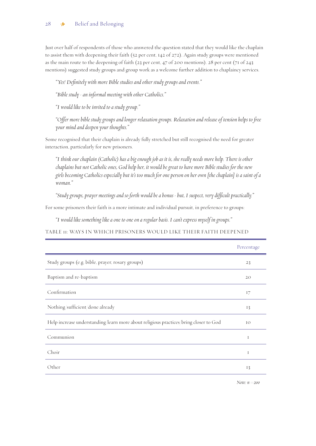Just over half of respondents of those who answered the question stated that they would like the chaplain to assist them with deepening their faith (52 per cent, 142 of 272). Again study groups were mentioned as the main route to the deepening of faith (23 per cent, 47 of 200 mentions). 28 per cent (71 of 243 mentions) suggested study groups and group work as a welcome further addition to chaplaincy services.

*"Yes! Definitely with more Bible studies and other study groups and events."*

*"Bible study - an informal meeting with other Catholics."*

*"I would like to be invited to a study group."* 

*"Offer more bible study groups and longer relaxation groups. Relaxation and release of tension helps to free your mind and deepen your thoughts."*

Some recognised that their chaplain is already fully stretched but still recognised the need for greater interaction, particularly for new prisoners.

*"I think our chaplain (Catholic) has a big enough job as it is, she really needs more help. There is other chaplains but not Catholic ones, God help her, it would be great to have more Bible studies for the new girls becoming Catholics especially but it's too much for one person on her own [the chaplain] is a saint of a woman."*

*"Study groups, prayer meetings and so forth would be a bonus - but, I suspect, very difficult practically."*

For some prisoners their faith is a more intimate and individual pursuit, in preference to groups:

*"I would like something like a one to one on a regular basis. I can't express myself in groups."*

TABLE 11: WAYS IN WHICH PRISONERS WOULD LIKE THEIR FAITH DEEPENED

|                                                                                      | Percentage |
|--------------------------------------------------------------------------------------|------------|
| Study groups (e.g. bible, prayer, rosary groups)                                     | 23         |
| Baptism and re-baptism                                                               | 20         |
| Confirmation                                                                         | 17         |
| Nothing/sufficient/done already                                                      | 13         |
| Help increase understanding/learn more about religious practices/bring closer to God | IO         |
| Communion                                                                            | I          |
| Choir                                                                                | I          |
| Other                                                                                | 13         |

*Note: n =200*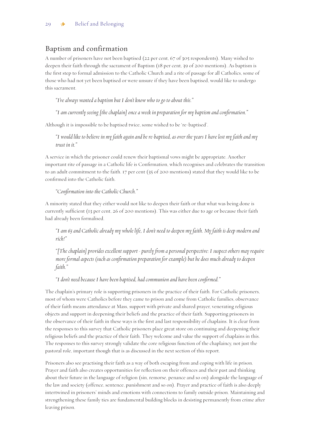### Baptism and confirmation

A number of prisoners have not been baptised (22 per cent, 67 of 305 respondents). Many wished to deepen their faith through the sacrament of Baptism (18 per cent, 39 of 200 mentions). As baptism is the first step to formal admission to the Catholic Church and a rite of passage for all Catholics, some of those who had not yet been baptised or were unsure if they have been baptised, would like to undergo this sacrament.

*"I've always wanted a baptism but I don't know who to go to about this."*

*"I am currently seeing [the chaplain] once a week in preparation for my baptism and confirmation."*

Although it is impossible to be baptised twice, some wished to be 're-baptised'.

*"I would like to believe in my faith again and be re-baptised, as over the years I have lost my faith and my trust in it."*

A service in which the prisoner could renew their baptismal vows might be appropriate. Another important rite of passage in a Catholic life is Confirmation, which recognises and celebrates the transition to an adult commitment to the faith. 17 per cent (35 of 200 mentions) stated that they would like to be confirmed into the Catholic faith.

### *"Confirmation into the Catholic Church."*

A minority stated that they either would not like to deepen their faith or that what was being done is currently sufficient (13 per cent, 26 of 200 mentions). This was either due to age or because their faith had already been formalised.

*"I am 65 and Catholic already my whole life, I don't need to deepen my faith. My faith is deep modern and rich!"*

*"[The chaplain] provides excellent support - purely from a personal perspective: I suspect others may require more formal aspects (such as confirmation preparation for example) but he does much already to deepen faith."*

*"I don't need because I have been baptised, had communion and have been confirmed."*

The chaplain's primary role is supporting prisoners in the practice of their faith. For Catholic prisoners, most of whom were Catholics before they came to prison and come from Catholic families, observance of their faith means attendance at Mass, support with private and shared prayer, venerating religious objects and support in deepening their beliefs and the practice of their faith. Supporting prisoners in the observance of their faith in these ways is the first and last responsibility of chaplains. It is clear from the responses to this survey that Catholic prisoners place great store on continuing and deepening their religious beliefs and the practice of their faith. They welcome and value the support of chaplains in this. The responses to this survey strongly validate the core religious function of the chaplaincy, not just the pastoral role, important though that is as discussed in the next section of this report.

Prisoners also see practising their faith as a way of both escaping from and coping with life in prison. Prayer and faith also creates opportunities for reflection on their offences and their past and thinking about their future in the language of religion (sin, remorse, penance and so on) alongside the language of the law and society (offence, sentence, punishment and so on). Prayer and practice of faith is also deeply intertwined in prisoners' minds and emotions with connections to family outside prison. Maintaining and strengthening these family ties are fundamental building blocks in desisting permanently from crime after leaving prison.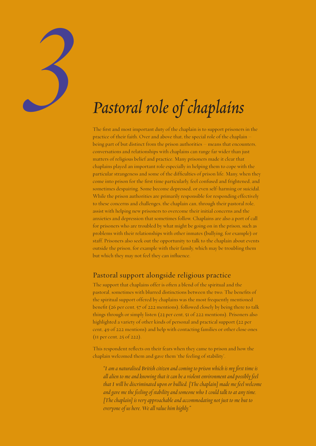| Pastoral role of chaplains |
|----------------------------|

The first and most important duty of the chaplain is to support prisoners in the practice of their faith. Over and above that, the special role of the chaplain – being part of but distinct from the prison authorities – means that encounters, conversations and relationships with chaplains can range far wider than just matters of religious belief and practice. Many prisoners made it clear that chaplains played an important role especially in helping them to cope with the particular strangeness and some of the difficulties of prison life. Many, when they come into prison for the first time particularly, feel confused and frightened, and sometimes despairing. Some become depressed, or even self-harming or suicidal. While the prison authorities are primarily responsible for responding effectively to these concerns and challenges, the chaplain can, through their pastoral role, assist with helping new prisoners to overcome their initial concerns and the anxieties and depression that sometimes follow. Chaplains are also a port of call for prisoners who are troubled by what might be going on in the prison, such as problems with their relationships with other inmates (bullying, for example) or staff. Prisoners also seek out the opportunity to talk to the chaplain about events outside the prison, for example with their family, which may be troubling them but which they may not feel they can influence.

### Pastoral support alongside religious practice

The support that chaplains offer is often a blend of the spiritual and the pastoral, sometimes with blurred distinctions between the two. The benefits of the spiritual support offered by chaplains was the most frequently mentioned benefit (26 per cent, 57 of 222 mentions), followed closely by being there to talk things through or simply listen (23 per cent, 51 of 222 mentions). Prisoners also highlighted a variety of other kinds of personal and practical support (22 per cent, 49 of 222 mentions) and help with contacting families or other close ones (11 per cent, 25 of 222).

This respondent reflects on their fears when they came to prison and how the chaplain welcomed them and gave them 'the feeling of stability'.

*"I am a naturalised British citizen and coming to prison which is my first time is all alien to me and knowing that it can be a violent environment and possibly feel that I will be discriminated upon or bullied. [The chaplain] made me feel welcome and gave me the feeling of stability and someone who I could talk to at any time. [The chaplain] is very approachable and accommodating not just to me but to everyone of us here. We all value him highly."*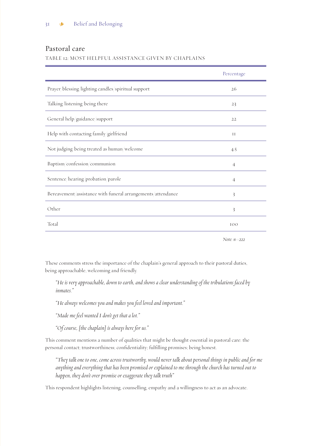### Pastoral care

### TABLE 12: MOST HELPFUL ASSISTANCE GIVEN BY CHAPLAINS

|                                                             | Percentage     |
|-------------------------------------------------------------|----------------|
| Prayer/blessing/lighting candles/spiritual support          | 26             |
| Talking/listening/being there                               | 23             |
| General help/guidance/support                               | 22             |
| Help with contacting family/girlfriend                      | $_{\rm II}$    |
| Not judging/being treated as human/welcome                  | 4.5            |
| Baptism/confession/communion                                | $\overline{4}$ |
| Sentence/hearing/probation/parole                           | $\overline{4}$ |
| Bereavement/assistance with funeral arrangements/attendance | 3              |
| Other                                                       | 3              |
| Total                                                       | 100            |
|                                                             |                |

*Note: n=222*

These comments stress the importance of the chaplain's general approach to their pastoral duties, being approachable, welcoming and friendly.

*"He is very approachable, down to earth, and shows a clear understanding of the tribulations faced by inmates."*

*"He always welcomes you and makes you feel loved and important."*

*"Made me feel wanted I don't get that a lot."*

*"Of course, [the chaplain] is always here for us."*

This comment mentions a number of qualities that might be thought essential in pastoral care: the personal contact; trustworthiness; confidentiality; fulfilling promises; being honest.

*"They talk one to one, come across trustworthy, would never talk about personal things in public and for me anything and everything that has been promised or explained to me through the church has turned out to happen, they don't over promise or exaggerate they talk truth"*

This respondent highlights listening, counselling, empathy and a willingness to act as an advocate.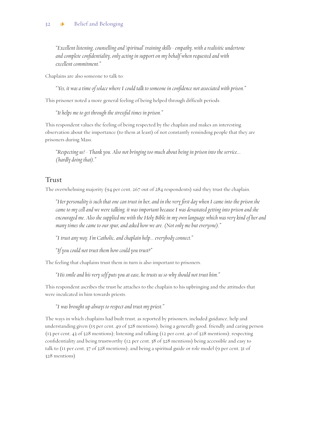*"Excellent listening, counselling and 'spiritual' training skills - empathy, with a realisitic undertone and complete confidentiality, only acting in support on my behalf when requested and with excellent commitment."*

Chaplains are also someone to talk to:

*"Yes, it was a time of solace where I could talk to someone in confidence not associated with prison."*

This prisoner noted a more general feeling of being helped through difficult periods.

*"It helps me to get through the stressful times in prison."*

This respondent values the feeling of being respected by the chaplain and makes an interesting observation about the importance (to them at least) of not constantly reminding people that they are prisoners during Mass.

*"Respecting us! - Thank you. Also not bringing too much about being in prison into the service... ( hardly doing that)."*

### Trust

The overwhelming majority (94 per cent, 267 out of 284 respondents) said they trust the chaplain.

*"Her personality is such that one can trust in her, and in the very first day when I came into the prison she came to my cell and we were talking, it was important because I was devastated getting into prison and she encouraged me. Also she supplied me with the Holy Bible in my own language which was very kind of her and many times she came to our spur, and asked how we are. (Not only me but everyone)."*

*"I trust any way. I'm Catholic, and chaplain help... everybody connect."*

*"If you could not trust them how could you trust?"*

The feeling that chaplains trust them in turn is also important to prisoners.

*"His smile and his very self puts you at ease, he trusts us so why should not trust him."*

This respondent ascribes the trust he attaches to the chaplain to his upbringing and the attitudes that were inculcated in him towards priests.

*"I was brought up always to respect and trust my priest."* 

The ways in which chaplains had built trust, as reported by prisoners, included guidance, help and understanding given (15 per cent, 49 of 328 mentions); being a generally good, friendly and caring person (13 per cent, 43 of 328 mentions); listening and talking (12 per cent, 40 of 328 mentions); respecting confidentiality and being trustworthy (12 per cent, 38 of 328 mentions) being accessible and easy to talk to (11 per cent, 37 of 328 mentions); and being a spiritual guide or role model (9 per cent, 31 of 328 mentions)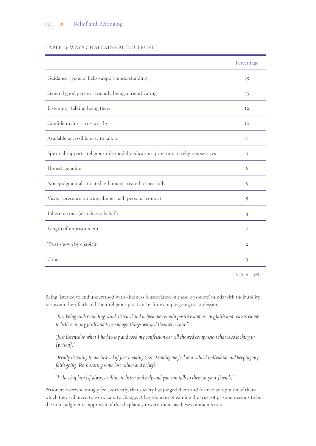### TABLE 13: WAYS CHAPLAINS BUILD TRUST

|                                                                                      | Percentage              |
|--------------------------------------------------------------------------------------|-------------------------|
| Guidance / general help/support/understanding                                        | 15                      |
| General good person / friendly/being a friend/caring                                 | 13                      |
| Listening / talking/being there                                                      | 12                      |
| Confidentiality / trustworthy                                                        | 12                      |
| Available/accessible/easy to talk to                                                 | $_{\rm II}$             |
| Spiritual support / religious role model/dedication/ provision of religious services | $\mathcal{Q}$           |
| Honest/genuine                                                                       | 6                       |
| Non-judgmental / treated as human/ treated respectfully                              | 5                       |
| Visits / presence on wing; dinner hall/ personal contact                             | 5                       |
| Inherent trust (also due to belief)                                                  | $\overline{4}$          |
| Length of imprisonment                                                               | $\overline{2}$          |
| Trust shown by chaplain                                                              | $\overline{2}$          |
| Other                                                                                | $\overline{\mathbf{3}}$ |

*Note: n = 328*

Being listened to and understood with kindness is associated in these prisoners' minds with their ability to sustain their faith and their religious practice, by for example going to confession.

*"Just being understanding, kind, listened and helped me remain positive and use my faith and reassured me to believe in my faith and true enough things worked themselves out."* 

*"Just listened to what I had to say and took my confession as well showed compassion that is so lacking in [prison]."*

*"Really listening to me instead of just nodding OK. Making me feel as a valued individual and keeping my faith going. Re-instating some lost values and beliefs."*

*"[The chaplain is] always willing to listen and help and you can talk to them as your friends."* 

Prisoners overwhelmingly feel, correctly, that society has judged them and formed an opinion of them which they will need to work hard to change. A key element of gaining the trust of prisoners seems to be the non-judgmental approach of the chaplaincy toward them, as these comments note.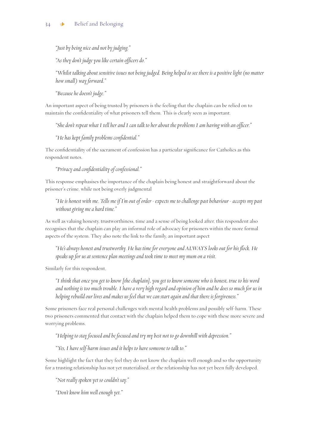*"Just by being nice and not by judging."*

*"As they don't judge you like certain officers do."*

*"Whilst talking about sensitive issues not being judged. Being helped to see there is a positive light (no matter how small ) way forward."*

*"Because he doesn't judge."*

An important aspect of being trusted by prisoners is the feeling that the chaplain can be relied on to maintain the confidentiality of what prisoners tell them. This is clearly seen as important.

*"She don't repeat what I tell her and I can talk to her about the problems I am having with an officer."*

*"He has kept family problems confidential."*

The confidentiality of the sacrament of confession has a particular significance for Catholics as this respondent notes.

*"Privacy and confidentiality of confessional."*

This response emphasises the importance of the chaplain being honest and straightforward about the prisoner's crime, while not being overly judgmental

*"He is honest with me. Tells me if I'm out of order - expects me to challenge past behaviour - accepts my past without giving me a hard time."*

As well as valuing honesty, trustworthiness, time and a sense of being looked after, this respondent also recognises that the chaplain can play an informal role of advocacy for prisoners within the more formal aspects of the system. They also note the link to the family, an important aspect

*"He's always honest and trustworthy. He has time for everyone and ALWAYS looks out for his flock. He speaks up for us at sentence plan meetings and took time to meet my mum on a visit.*

Similarly for this respondent,

*"I think that once you get to know [the chaplain], you get to know someone who is honest, true to his word and nothing is too much trouble. I have a very high regard and opinion of him and he does so much for us in helping rebuild our lives and makes us feel that we can start again and that there is forgiveness."*

Some prisoners face real personal challenges with mental health problems and possibly self-harm. These two prisoners commented that contact with the chaplain helped them to cope with these more severe and worrying problems.

*"Helping to stay focused and be focused and try my best not to go downhill with depression."*

*"Yes, I have self-harm issues and it helps to have someone to talk to."*

Some highlight the fact that they feel they do not know the chaplain well enough and so the opportunity for a trusting relationship has not yet materialised, or the relationship has not yet been fully developed.

*"Not really spoken yet so couldn't say."*

*"Don't know him well enough yet."*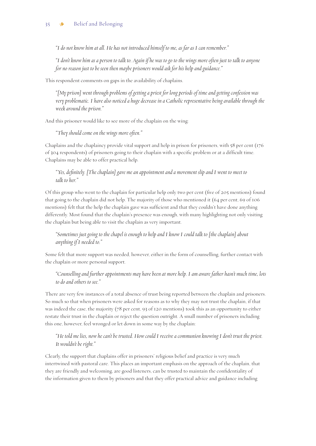### 35 **\*** Belief and Belonging

*"I do not know him at all. He has not introduced himself to me, as far as I can remember."*

*"I don't know him as a person to talk to. Again if he was to go to the wings more often just to talk to anyone for no reason just to be seen then maybe prisoners would ask for his help and guidance."*

This respondent comments on gaps in the availability of chaplains.

*"[My prison] went through problems of getting a priest for long periods of time and getting confession was very problematic. I have also noticed a huge decrease in a Catholic representative being available through the week around the prison."*

And this prisoner would like to see more of the chaplain on the wing:

*"They should come on the wings more often."*

Chaplains and the chaplaincy provide vital support and help in prison for prisoners, with 58 per cent (176 of 304 respondents) of prisoners going to their chaplain with a specific problem or at a difficult time. Chaplains may be able to offer practical help.

### *"Yes, definitely. [The chaplain] gave me an appointment and a movement slip and I went to meet to talk to her."*

Of this group who went to the chaplain for particular help only two per cent (five of 205 mentions) found that going to the chaplain did not help. The majority of those who mentioned it (64 per cent, 69 of 106 mentions) felt that the help the chaplain gave was sufficient and that they couldn't have done anything differently. Most found that the chaplain's presence was enough, with many highlighting not only visiting the chaplain but being able to visit the chaplain as very important.

### *"Sometimes just going to the chapel is enough to help and I know I could talk to [the chaplain] about anything if I needed to."*

Some felt that more support was needed, however, either in the form of counselling, further contact with the chaplain or more personal support.

### *"Counselling and further appointments may have been at more help. I am aware father hasn't much time, lots to do and others to see."*

There are very few instances of a total absence of trust being reported between the chaplain and prisoners. So much so that when prisoners were asked for reasons as to why they may not trust the chaplain, if that was indeed the case, the majority (78 per cent, 93 of 120 mentions) took this as an opportunity to either restate their trust in the chaplain or reject the question outright. A small number of prisoners including this one, however, feel wronged or let down in some way by the chaplain:

### *"He told me lies, now he can't be trusted. How could I receive a communion knowing I don't trust the priest. It wouldn't be right."*

Clearly, the support that chaplains offer in prisoners' religious belief and practice is very much intertwined with pastoral care. This places an important emphasis on the approach of the chaplain, that they are friendly and welcoming, are good listeners, can be trusted to maintain the confidentiality of the information given to them by prisoners and that they offer practical advice and guidance including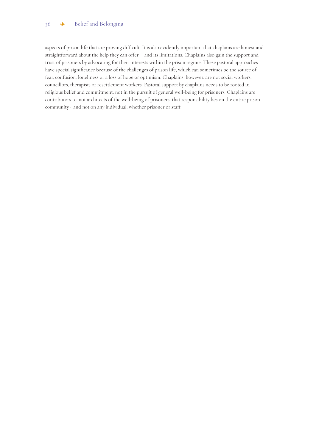### 36 & Belief and Belonging

aspects of prison life that are proving difficult. It is also evidently important that chaplains are honest and straightforward about the help they can offer – and its limitations. Chaplains also gain the support and trust of prisoners by advocating for their interests within the prison regime. These pastoral approaches have special significance because of the challenges of prison life, which can sometimes be the source of fear, confusion, loneliness or a loss of hope or optimism. Chaplains, however, are not social workers, councillors, therapists or resettlement workers. Pastoral support by chaplains needs to be rooted in religious belief and commitment, not in the pursuit of general well-being for prisoners. Chaplains are contributors to, not architects of the well-being of prisoners: that responsibility lies on the entire prison community - and not on any individual, whether prisoner or staff.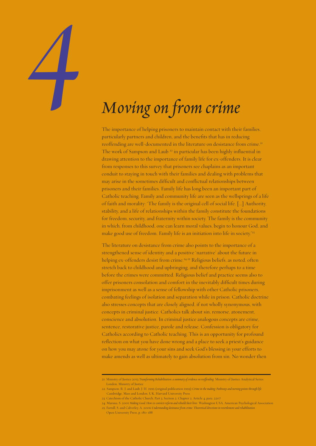# 37 > Belief and Belonging *4 Moving on from crime*

The importance of helping prisoners to maintain contact with their families, particularly partners and children, and the benefits that has in reducing reoffending are well-documented in the literature on desistance from crime.<sup>21</sup> The work of Sampson and Laub<sup>22</sup> in particular has been highly influential in drawing attention to the importance of family life for ex-offenders. It is clear from responses to this survey that prisoners see chaplains as an important conduit to staying in touch with their families and dealing with problems that may arise in the sometimes difficult and conflictual relationships between prisoners and their families. Family life has long been an important part of Catholic teaching. Family and community life are seen as the wellsprings of a life of faith and morality: 'The family is the original cell of social life. [...] Authority, stability, and a life of relationships within the family constitute the foundations for freedom, security, and fraternity within society. The family is the community in which, from childhood, one can learn moral values, begin to honour God, and make good use of freedom. Family life is an initiation into life in society.<sup>23</sup>

The literature on desistance from crime also points to the importance of a strengthened sense of identity and a positive 'narrative' about the future in helping ex-offenders desist from crime.<sup>24,25</sup> Religious beliefs, as noted, often stretch back to childhood and upbringing, and therefore perhaps to a time before the crimes were committed. Religious belief and practice seems also to offer prisoners consolation and comfort in the inevitably difficult times during imprisonment as well as a sense of fellowship with other Catholic prisoners, combating feelings of isolation and separation while in prison. Catholic doctrine also stresses concepts that are closely aligned, if not wholly synonymous, with concepts in criminal justice. Catholics talk about sin, remorse, atonement, conscience and absolution. In criminal justice analogous concepts are crime, sentence, restorative justice, parole and release. Confession is obligatory for Catholics according to Catholic teaching. This is an opportunity for profound reflection on what you have done wrong and a place to seek a priest's guidance on how you may atone for your sins and seek God's blessing in your efforts to make amends as well as ultimately to gain absolution from sin. No wonder then

<sup>21.</sup> Ministry of Justice 2013 *Transforming Rehabilitation: a summary of evidence on reoffending*. Ministry of Justice Analytical Series. London, Ministry of Justice

<sup>22.</sup> Sampson, R. J. and Laub, J. H. 1995 (original publication 1993) *Crime in the making: Pathways and turning points through life*. Cambridge, Mass and London, UK, Harvard University Press

<sup>23.</sup> Catechism of the Catholic Church, Part 3, Section 2, Chapter 2, Article 4, para. 2207

<sup>24.</sup> Maruna, S. 2001 *Making Good: How ex-convicts reform and rebuild their lives*. Washington USA, American Psychological Association

<sup>25.</sup> Farrall, S. and Calverley, A. 2006 *Understanding desistance from crime: Theoretical directions in resettlement and rehabilitation*. Open University Press, p. 180-188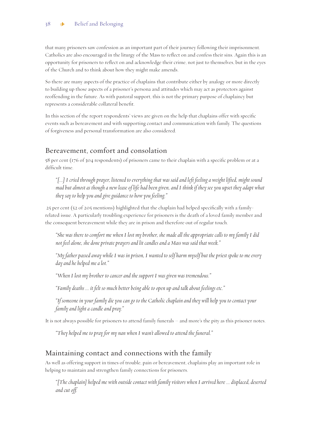that many prisoners saw confession as an important part of their journey following their imprisonment. Catholics are also encouraged in the liturgy of the Mass to reflect on and confess their sins. Again this is an opportunity for prisoners to reflect on and acknowledge their crime, not just to themselves, but in the eyes of the Church and to think about how they might make amends.

So there are many aspects of the practice of chaplains that contribute either by analogy or more directly to building up those aspects of a prisoner's persona and attitudes which may act as protectors against reoffending in the future. As with pastoral support, this is not the primary purpose of chaplaincy but represents a considerable collateral benefit.

In this section of the report respondents' views are given on the help that chaplains offer with specific events such as bereavement and with supporting contact and communication with family. The questions of forgiveness and personal transformation are also considered.

### Bereavement, comfort and consolation

58 per cent (176 of 304 respondents) of prisoners came to their chaplain with a specific problem or at a difficult time.

*"[...] I cried through prayer, listened to everything that was said and left feeling a weight lifted, might sound mad but almost as though a new lease of life had been given, and I think if they see you upset they adapt what they say to help you and give guidance to how you feeling."*

 25 per cent (52 of 205 mentions) highlighted that the chaplain had helped specifically with a familyrelated issue. A particularly troubling experience for prisoners is the death of a loved family member and the consequent bereavement while they are in prison and therefore out of regular touch.

*"She was there to comfort me when I lost my brother, she made all the appropriate calls to my family I did not feel alone, she done private prayers and lit candles and a Mass was said that week."*

*"My father passed away while I was in prison, I wanted to self harm myself but the priest spoke to me every day and he helped me a lot."*

*"When I lost my brother to cancer and the support I was given was tremendous."*

*"Family deaths ... it felt so much better being able to open up and talk about feelings etc."*

*"If someone in your family die you can go to the Catholic chaplain and they will help you to contact your family and light a candle and pray."*

It is not always possible for prisoners to attend family funerals – and more's the pity as this prisoner notes.

*"They helped me to pray for my nan when I wasn't allowed to attend the funeral."*

### Maintaining contact and connections with the family

As well as offering support in times of trouble, pain or bereavement, chaplains play an important role in helping to maintain and strengthen family connections for prisoners.

*"[The chaplain] helped me with outside contact with family visitors when I arrived here ... displaced, deserted and cut off.*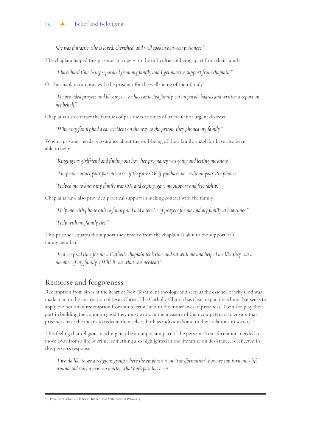*She was fantastic. She is loved, cherished, and well spoken between prisoners."*

The chaplain helped this prisoner to cope with the difficulties of being apart from their family:

*"I have hard time being separated from my family and I get massive support from chaplain."* 

Or the chaplain can pray with the prisoner for the well-being of their family.

*"He provided prayers and blessings ... he has contacted family, sat on parole boards and written a report on my behalf."* 

Chaplains also contact the families of prisoners at times of particular or urgent distress.

*"When my family had a car accident on the way to the prison, they phoned my family."*

When a prisoner needs reassurance about the well-being of their family, chaplains have also been able to help:

*"Ringing my girlfriend and finding out how her pregnancy was going and letting me know."*

*"They can contact your parents to see if they are OK if you have no credit on your Pin phones."*

*"Helped me to know my family was OK and coping, gave me support and friendship."* 

Chaplains have also provided practical support in making contact with the family.

*"Help me with phone calls to family and had a service of prayers for me and my family at bad times."*

*"Help with my family ties."*

This prisoner equates the support they receive from the chaplain as akin to the support of a family member.

*"In a very sad time for me a Catholic chaplain took time and sat with me and helped me like they was a member of my family. (Which was what was needed.)"*

### Remorse and forgiveness

Redemption from sin is at the heart of New Testament theology and seen as the essence of why God was made man in the incarnation of Jesus Christ. The Catholic Church has clear, explicit teaching that seeks to apply the notion of redemption from sin to crime and to the future lives of prisoners: 'For all to play their part in building the common good they must work, in the measure of their competence, to ensure that prisoners have the means to redeem themselves, both as individuals and in their relations to society.'26

This feeling that religious teaching may be an important part of the personal 'transformation' needed to move away from a life of crime, something also highlighted in the literature on desistance, is reflected in this person's response.

*"I would like to see a religious group where the emphasis is on 'transformation', how we can turn one's life around and start a new, no matter what one's past has been."*

26. Pope Saint John Paul ll 2000, Jubilee Year Statement on Prisons, 4.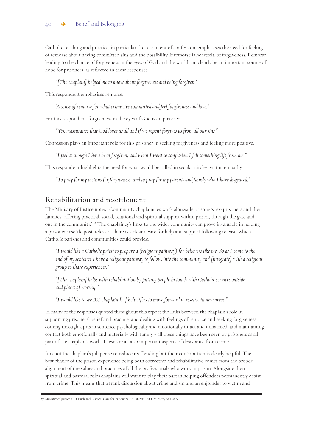### 40 **\*** Belief and Belonging

Catholic teaching and practice, in particular the sacrament of confession, emphasises the need for feelings of remorse about having committed sins and the possibility, if remorse is heartfelt, of forgiveness. Remorse leading to the chance of forgiveness in the eyes of God and the world can clearly be an important source of hope for prisoners, as reflected in these responses.

*"[The chaplain] helped me to know about forgiveness and being forgiven."*

This respondent emphasises remorse.

*"A sense of remorse for what crime I've committed and feel forgiveness and love."*

For this respondent, forgiveness in the eyes of God is emphasised.

*"Yes, reassurance that God loves us all and if we repent forgives us from all our sins."*

Confession plays an important role for this prisoner in seeking forgiveness and feeling more positive.

*"I feel as though I have been forgiven, and when I went to confession I felt something lift from me."*

This respondent highlights the need for what would be called in secular circles, victim empathy.

*"To pray for my victims for forgiveness, and to pray for my parents and family who I have disgraced."*

### Rehabilitation and resettlement

The Ministry of Justice notes, 'Community chaplaincies work alongside prisoners, ex-prisoners and their families, offering practical, social, relational and spiritual support within prison, through the gate and out in the community.<sup>' 27</sup> The chaplaincy's links to the wider community can prove invaluable in helping a prisoner resettle post-release. There is a clear desire for help and support following release, which Catholic parishes and communities could provide.

*"I would like a Catholic priest to prepare a (religious pathway) for believers like me. So as I come to the end of my sentence I have a religious pathway to follow, into the community and [integrate] with a religious group to share experiences."*

*"[The chaplain] helps with rehabilitation by putting people in touch with Catholic services outside and places of worship."*

*"I would like to see RC chaplain [...] help lifers to move forward to resettle in new areas."*

In many of the responses quoted throughout this report the links between the chaplain's role in supporting prisoners' belief and practice, and dealing with feelings of remorse and seeking forgiveness, coming through a prison sentence psychologically and emotionally intact and unharmed, and maintaining contact both emotionally and materially with family - all these things have been seen by prisoners as all part of the chaplain's work. These are all also important aspects of desistance from crime.

It is not the chaplain's job per se to reduce reoffending but their contribution is clearly helpful. The best chance of the prison experience being both corrective and rehabilitative comes from the proper alignment of the values and practices of all the professionals who work in prison. Alongside their spiritual and pastoral roles chaplains will want to play their part in helping offenders permanently desist from crime. This means that a frank discussion about crime and sin and an enjoinder to victim and

<sup>27.</sup> Ministry of Justice 2011 Faith and Pastoral Care for Prisoners, PSI 51/2011, 21.1, Ministry of Justice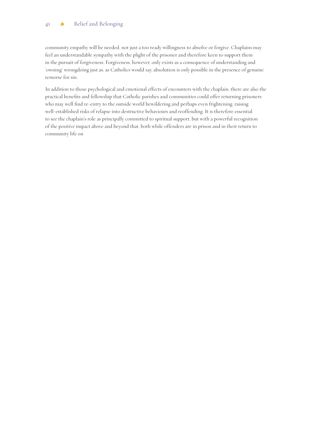### 41 & Belief and Belonging

community empathy will be needed, not just a too ready willingness to absolve or forgive. Chaplains may feel an understandable sympathy with the plight of the prisoner and therefore keen to support them in the pursuit of forgiveness. Forgiveness, however, only exists as a consequence of understanding and 'owning' wrongdoing just as, as Catholics would say, absolution is only possible in the presence of genuine remorse for sin.

In addition to those psychological and emotional effects of encounters with the chaplain, there are also the practical benefits and fellowship that Catholic parishes and communities could offer returning prisoners who may well find re-entry to the outside world bewildering and perhaps even frightening, raising well-established risks of relapse into destructive behaviours and reoffending. It is therefore essential to see the chaplain's role as principally committed to spiritual support, but with a powerful recognition of the positive impact above and beyond that, both while offenders are in prison and in their return to community life on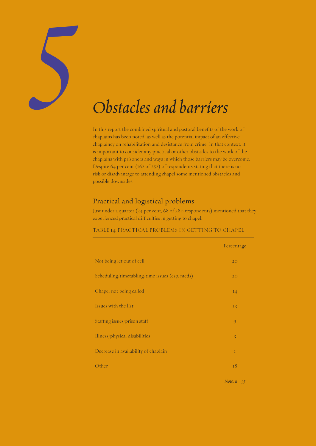

In this report the combined spiritual and pastoral benefits of the work of chaplains has been noted, as well as the potential impact of an effective chaplaincy on rehabilitation and desistance from crime. In that context, it is important to consider any practical or other obstacles to the work of the chaplains with prisoners and ways in which those barriers may be overcome. Despite 64 per cent (162 of 252) of respondents stating that there is no risk or disadvantage to attending chapel some mentioned obstacles and possible downsides.

### Practical and logistical problems

Just under a quarter (24 per cent, 68 of 280 respondents) mentioned that they experienced practical difficulties in getting to chapel.

### TABLE 14: PRACTICAL PROBLEMS IN GETTING TO CHAPEL

|                                                | Percentage     |
|------------------------------------------------|----------------|
| Not being let out of cell                      | 20             |
| Scheduling/timetabling/time issues (esp. meds) | 20             |
| Chapel not being called                        | 14             |
| Issues with the list                           | 13             |
| Staffing issues/prison staff                   | $\overline{Q}$ |
| Illness/physical disabilities                  | 3              |
| Decrease in availability of chaplain           | I              |
| Other                                          | 18             |
|                                                | Note: $n = 95$ |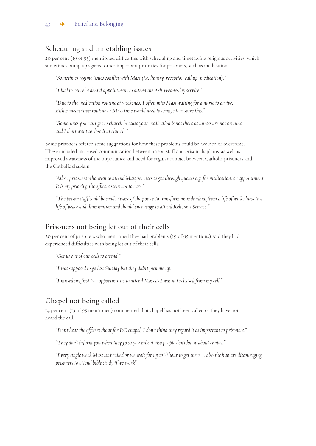### Scheduling and timetabling issues

20 per cent (19 of 95) mentioned difficulties with scheduling and timetabling religious activities, which sometimes bump up against other important priorities for prisoners, such as medication.

*"Sometimes regime issues conflict with Mass (i.e. library, reception call up, medication)."*

*"I had to cancel a dental appointment to attend the Ash Wednesday service."*

*"Due to the medication routine at weekends, I often miss Mass waiting for a nurse to arrive. Either medication routine or Mass time would need to change to resolve this."*

*"Sometimes you can't get to church because your medication is not there as nurses are not on time, and I don't want to lose it at church."*

Some prisoners offered some suggestions for how these problems could be avoided or overcome. These included increased communication between prison staff and prison chaplains, as well as improved awareness of the importance and need for regular contact between Catholic prisoners and the Catholic chaplain.

*"Allow prisoners who wish to attend Mass/services to get through queues e.g. for medication, or appointment. It is my priority, the officers seem not to care."*

*"The prison staff could be made aware of the power to transform an individual from a life of wickedness to a life of peace and illumination and should encourage to attend Religious Service."*

### Prisoners not being let out of their cells

20 per cent of prisoners who mentioned they had problems (19 of 95 mentions) said they had experienced difficulties with being let out of their cells.

*"Get us out of our cells to attend."*

*"I was supposed to go last Sunday but they didn't pick me up."*

*"I missed my first two opportunities to attend Mass as I was not released from my cell."*

### Chapel not being called

14 per cent (13 of 95 mentioned) commented that chapel has not been called or they have not heard the call.

*"Don't hear the officers shout for RC chapel, I don't think they regard it as important to prisoners."*

*"They don't inform you when they go so you miss it also people don't know about chapel."*

*"Every single week Mass isn't called or we wait for up to 3/4hour to get there ... also the hub are discouraging prisoners to attend bible study if we work"*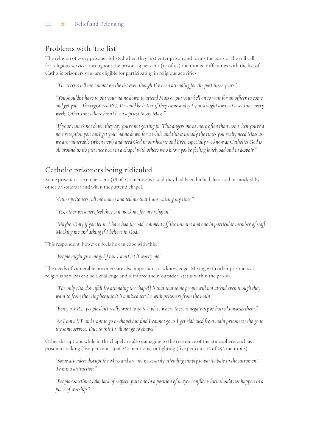### Problems with 'the list'

The religion of every prisoner is listed when they first enter prison and forms the basis of the roll call for religious services throughout the prison. 13 per cent (12 of 95) mentioned difficulties with the list of Catholic prisoners who are eligible for participating in religious activities.

*"The screws tell me I'm not on the list even though I've been attending for the past three years."*

*"You shouldn't have to put your name down to attend Mass or put your bell on to wait for an officer to come and get you... I'm registered RC. It would be better if they came and got you straight away at a set time every week. Other times there hasn't been a priest to say Mass."*

*"If your name's not down they say you're not getting in. This angers me as more often than not, when you're a new reception you can't get your name down for a while and this is usually the times you really need Mass as we are vulnerable (when new) and need God in our hearts and lives, especially we know as Catholics God is all around us it's just nice been in a chapel with others who know you're feeling lonely sad and in despair."*

### Catholic prisoners being ridiculed

Some prisoners, seven per cent (18 of 252 mentions), said they had been bullied, harassed or mocked by other prisoners if and when they attend chapel.

*"Other prisoners call me names and tell me that I am wasting my time."*

*"Yes, other prisoners feel they can mock me for my religion."*

*"Maybe. Only if you let it. I have had the odd comment off the inmates and one in particular member of staff. Mocking me and asking if I believe in God."*

This respondent, however, feels he can cope with this.

*"People might give me grief but I don't let it worry me."*

The needs of vulnerable prisoners are also important to acknowledge. Mixing with other prisoners at religious services can be a challenge and reinforce their 'outsider' status within the prison.

*"The only risk/downfall [to attending the chapel] is that that some people will not attend even though they want to from the wing because it is a mixed service with prisoners from the main."*

*"Being a VP ... people don't really want to go to a place where there is negativity or hatred towards them."*

*"As I am a VP and want to go to chapel but find I cannot go as I get ridiculed from main prisoners who go to the same service. Due to this I will not go to chapel."*

Other disruptions while in the chapel are also damaging to the reverence of the atmosphere, such as prisoners talking (five per cent, 13 of 252 mentions) or fighting (five per cent, 12 of 252 mentions).

*"Some attendees disrupt the Mass and are not necessarily attending simply to participate in the sacrament. This is a distraction."*

*"People sometimes talk, lack of respect, puts one in a position of maybe conflict which should not happen in a place of worship."*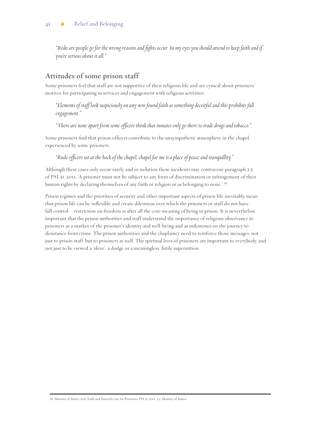*"Risks are people go for the wrong reasons and fights occur. In my eyes you should attend to keep faith and if you're serious about it all."*

### Attitudes of some prison staff

Some prisoners feel that staff are not supportive of their religious life and are cynical about prisoners' motives for participating in services and engagement with religious activities.

*"Elements of staff look suspiciously on any new found faith as something deceitful and this prohibits full engagement."*

*"There are none apart from some officers think that inmates only go there to trade drugs and tobacco."*

Some prisoners find that prison officers contribute to the unsympathetic atmosphere in the chapel, experienced by some prisoners.

*"Rude officers sat at the back of the chapel, chapel for me is a place of peace and tranquillity."*

Although these cases only occur rarely and in isolation these incidents may contravene paragraph 2.3 of PSI 51/2011, 'A prisoner must not be subject to any form of discrimination or infringement of their human rights by declaring themselves of any faith or religion or as belonging to none.' <sup>28</sup>

Prison regimes and the priorities of security and other important aspects of prison life inevitably mean that prison life can be inflexible and create dilemmas over which the prisoners or staff do not have full control – restriction on freedom is after all the core meaning of being in prison. It is nevertheless important that the prison authorities and staff understand the importance of religious observance to prisoners as a marker of the prisoner's identity and well-being and as milestones on the journey to desistance from crime. The prison authorities and the chaplaincy need to reinforce those messages, not just to prison staff, but to prisoners as well. The spiritual lives of prisoners are important to everybody, and not just to be viewed a 'skive', a dodge or a meaningless, futile superstition.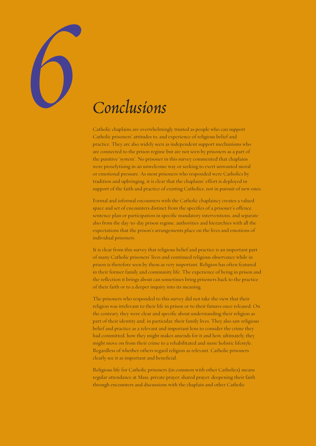

Catholic chaplains are overwhelmingly trusted as people who can support Catholic prisoners' attitudes to, and experience of religious belief and practice. They are also widely seen as independent support mechanisms who are connected to the prison regime but are not seen by prisoners as a part of the punitive 'system'. No prisoner in this survey commented that chaplains were proselytising in an unwelcome way or seeking to exert unwanted moral or emotional pressure. As most prisoners who responded were Catholics by tradition and upbringing, it is clear that the chaplains' effort is deployed in support of the faith and practice of existing Catholics, not in pursuit of new ones.

Formal and informal encounters with the Catholic chaplaincy creates a valued space and set of encounters distinct from the specifics of a prisoner's offence, sentence plan or participation in specific mandatory interventions, and separate also from the day-to-day prison regime, authorities and hierarchies with all the expectations that the prison's arrangements place on the lives and emotions of individual prisoners.

It is clear from this survey that religious belief and practice is an important part of many Catholic prisoners' lives and continued religious observance while in prison is therefore seen by them as very important. Religion has often featured in their former family and community life. The experience of being in prison and the reflection it brings about can sometimes bring prisoners back to the practice of their faith or to a deeper inquiry into its meaning.

The prisoners who responded to this survey did not take the view that their religion was irrelevant to their life in prison or to their futures once released. On the contrary, they were clear and specific about understanding their religion as part of their identity and, in particular, their family lives. They also saw religious belief and practice as a relevant and important lens to consider the crime they had committed, how they might makes amends for it and how, ultimately, they might move on from their crime to a rehabilitated and more holistic lifestyle. Regardless of whether others regard religion as relevant, Catholic prisoners clearly see it as important and beneficial.

Religious life for Catholic prisoners (in common with other Catholics) means regular attendance at Mass, private prayer, shared prayer, deepening their faith through encounters and discussions with the chaplain and other Catholic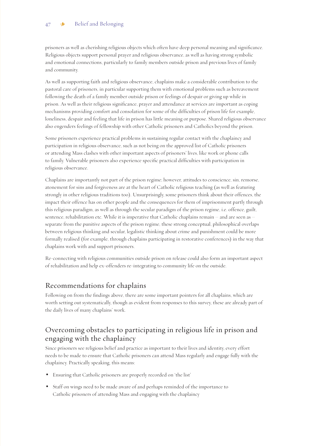prisoners as well as cherishing religious objects which often have deep personal meaning and significance. Religious objects support personal prayer and religious observance, as well as having strong symbolic and emotional connections, particularly to family members outside prison and previous lives of family and community.

As well as supporting faith and religious observance, chaplains make a considerable contribution to the pastoral care of prisoners, in particular supporting them with emotional problems such as bereavement following the death of a family member outside prison or feelings of despair or giving up while in prison. As well as their religious significance, prayer and attendance at services are important as coping mechanisms providing comfort and consolation for some of the difficulties of prison life for example, loneliness, despair and feeling that life in prison has little meaning or purpose. Shared religious observance also engenders feelings of fellowship with other Catholic prisoners and Catholics beyond the prison.

Some prisoners experience practical problems in sustaining regular contact with the chaplaincy and participation in religious observance, such as not being on the approved list of Catholic prisoners or attending Mass clashes with other important aspects of prisoners' lives, like work or phone calls to family. Vulnerable prisoners also experience specific practical difficulties with participation in religious observance.

Chaplains are importantly not part of the prison regime; however, attitudes to conscience, sin, remorse, atonement for sins and forgiveness are at the heart of Catholic religious teaching (as well as featuring strongly in other religious traditions too). Unsurprisingly, some prisoners think about their offences, the impact their offence has on other people and the consequences for them of imprisonment partly through this religious paradigm, as well as through the secular paradigm of the prison regime, i.e. offence, guilt, sentence, rehabilitation etc. While it is imperative that Catholic chaplains remain – and are seen as – separate from the punitive aspects of the prison regime, these strong conceptual, philosophical overlaps between religious thinking and secular, legalistic thinking about crime and punishment could be more formally realised (for example, through chaplains participating in restorative conferences) in the way that chaplains work with and support prisoners.

Re-connecting with religious communities outside prison on release could also form an important aspect of rehabilitation and help ex-offenders re-integrating to community life on the outside.

### Recommendations for chaplains

Following on from the findings above, there are some important pointers for all chaplains, which are worth setting out systematically, though as evident from responses to this survey, these are already part of the daily lives of many chaplains' work.

### Overcoming obstacles to participating in religious life in prison and engaging with the chaplaincy

Since prisoners see religious belief and practice as important to their lives and identity, every effort needs to be made to ensure that Catholic prisoners can attend Mass regularly and engage fully with the chaplaincy. Practically speaking, this means:

- Ensuring that Catholic prisoners are properly recorded on 'the list'
- Staff on wings need to be made aware of and perhaps reminded of the importance to Catholic prisoners of attending Mass and engaging with the chaplaincy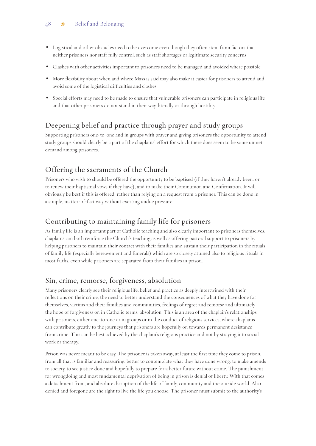- Logistical and other obstacles need to be overcome even though they often stem from factors that neither prisoners nor staff fully control, such as staff shortages or legitimate security concerns
- Clashes with other activities important to prisoners need to be managed and avoided where possible
- More flexibility about when and where Mass is said may also make it easier for prisoners to attend and avoid some of the logistical difficulties and clashes
- Special efforts may need to be made to ensure that vulnerable prisoners can participate in religious life and that other prisoners do not stand in their way, literally or through hostility.

# Deepening belief and practice through prayer and study groups

Supporting prisoners one-to-one and in groups with prayer and giving prisoners the opportunity to attend study groups should clearly be a part of the chaplains' effort for which there does seem to be some unmet demand among prisoners.

### Offering the sacraments of the Church

Prisoners who wish to should be offered the opportunity to be baptised (if they haven't already been, or to renew their baptismal vows if they have), and to make their Communion and Confirmation. It will obviously be best if this is offered, rather than relying on a request from a prisoner. This can be done in a simple, matter-of-fact way without exerting undue pressure.

### Contributing to maintaining family life for prisoners

As family life is an important part of Catholic teaching and also clearly important to prisoners themselves, chaplains can both reinforce the Church's teaching as well as offering pastoral support to prisoners by helping prisoners to maintain their contact with their families and sustain their participation in the rituals of family life (especially bereavement and funerals) which are so closely attuned also to religious rituals in most faiths, even while prisoners are separated from their families in prison.

### Sin, crime, remorse, forgiveness, absolution

Many prisoners clearly see their religious life, belief and practice as deeply intertwined with their reflections on their crime, the need to better understand the consequences of what they have done for themselves, victims and their families and communities, feelings of regret and remorse and ultimately the hope of forgiveness or, in Catholic terms, absolution. This is an area of the chaplain's relationships with prisoners, either one-to-one or in groups or in the conduct of religious services, where chaplains can contribute greatly to the journeys that prisoners are hopefully on towards permanent desistance from crime. This can be best achieved by the chaplain's religious practice and not by straying into social work or therapy.

Prison was never meant to be easy. The prisoner is taken away, at least the first time they come to prison, from all that is familiar and reassuring, better to contemplate what they have done wrong, to make amends to society, to see justice done and hopefully to prepare for a better future without crime. The punishment for wrongdoing and most fundamental deprivation of being in prison is denial of liberty. With that comes a detachment from, and absolute disruption of the life of family, community and the outside world. Also denied and foregone are the right to live the life you choose. The prisoner must submit to the authority's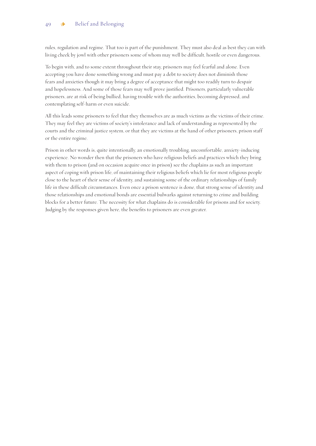rules, regulation and regime. That too is part of the punishment. They must also deal as best they can with living cheek by jowl with other prisoners some of whom may well be difficult, hostile or even dangerous.

To begin with, and to some extent throughout their stay, prisoners may feel fearful and alone. Even accepting you have done something wrong and must pay a debt to society does not diminish those fears and anxieties though it may bring a degree of acceptance that might too readily turn to despair and hopelessness. And some of those fears may well prove justified. Prisoners, particularly vulnerable prisoners, are at risk of being bullied, having trouble with the authorities, becoming depressed, and contemplating self-harm or even suicide.

All this leads some prisoners to feel that they themselves are as much victims as the victims of their crime. They may feel they are victims of society's intolerance and lack of understanding as represented by the courts and the criminal justice system, or that they are victims at the hand of other prisoners, prison staff or the entire regime.

Prison in other words is, quite intentionally, an emotionally troubling, uncomfortable, anxiety-inducing experience. No wonder then that the prisoners who have religious beliefs and practices which they bring with them to prison (and on occasion acquire once in prison) see the chaplains as such an important aspect of coping with prison life, of maintaining their religious beliefs which lie for most religious people close to the heart of their sense of identity, and sustaining some of the ordinary relationships of family life in these difficult circumstances. Even once a prison sentence is done, that strong sense of identity and those relationships and emotional bonds are essential bulwarks against returning to crime and building blocks for a better future. The necessity for what chaplains do is considerable for prisons and for society. Judging by the responses given here, the benefits to prisoners are even greater.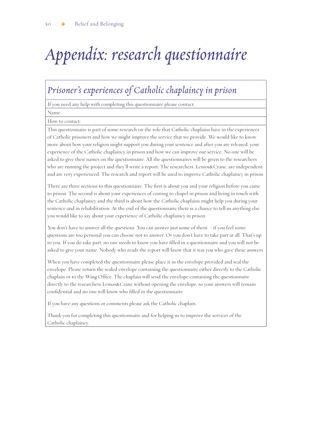# *Appendix: research questionnaire*

# *Prisoner's experiences of Catholic chaplaincy in prison*

If you need any help with completing this questionnaire please contact:

Name:

How to contact:

This questionnaire is part of some research on the role that Catholic chaplains have in the experiences of Catholic prisoners and how we might improve the service that we provide. We would like to know more about how your religion might support you during your sentence and after you are released, your experience of the Catholic chaplaincy in prison and how we can improve our service. No one will be asked to give their names on the questionnaire. All the questionnaires will be given to the researchers who are running the project and they'll write a report. The researchers, Lemos&Crane, are independent and are very experienced. The research and report will be used to improve Catholic chaplaincy in prison.

There are three sections to this questionnaire. The first is about you and your religion before you came to prison. The second is about your experiences of coming to chapel in prison and being in touch with the Catholic chaplaincy and the third is about how the Catholic chaplains might help you during your sentence and in rehabilitation. At the end of the questionnaire there is a chance to tell us anything else you would like to say about your experience of Catholic chaplaincy in prison.

You don't have to answer all the questions. You can answer just some of them – if you feel some questions are too personal you can choose not to answer. Or you don't have to take part at all. That's up to you. If you do take part, no one needs to know you have filled in a questionnaire and you will not be asked to give your name. Nobody who reads the report will know that it was you who gave these answers.

When you have completed the questionnaire please place it in the envelope provided and seal the envelope. Please return the sealed envelope containing the questionnaire either directly to the Catholic chaplain or to the Wing Office. The chaplain will send the envelope containing the questionnaire directly to the researchers Lemos&Crane without opening the envelope, so your answers will remain confidential and no one will know who filled in the questionnaire.

If you have any questions or comments please ask the Catholic chaplain.

Thank you for completing this questionnaire and for helping us to improve the services of the Catholic chaplaincy.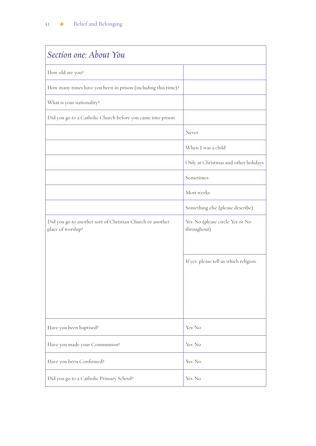| Section one: About You                                                         |                                                |
|--------------------------------------------------------------------------------|------------------------------------------------|
| How old are you?                                                               |                                                |
| How many times have you been in prison (including this time)?                  |                                                |
| What is your nationality?                                                      |                                                |
| Did you go to a Catholic Church before you came into prison:                   |                                                |
|                                                                                | Never                                          |
|                                                                                | When I was a child                             |
|                                                                                | Only at Christmas and other holidays           |
|                                                                                | Sometimes                                      |
|                                                                                | Most weeks                                     |
|                                                                                | Something else (please describe):              |
| Did you go to another sort of Christian Church or another<br>place of worship? | Yes/No (please circle Yes or No<br>throughout) |
|                                                                                | If yes, please tell us which religion.         |
| Have you been baptised?                                                        | Yes/No                                         |
| Have you made your Communion?                                                  | Yes/No                                         |
| Have you been Confirmed?                                                       | Yes/No                                         |
| Did you go to a Catholic Primary School?                                       | Yes/No                                         |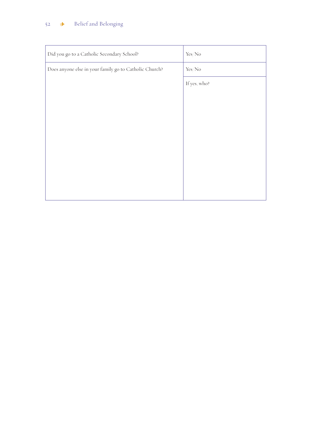### 52 & Belief and Belonging

| Did you go to a Catholic Secondary School?             | Yes/No       |
|--------------------------------------------------------|--------------|
| Does anyone else in your family go to Catholic Church? | Yes/No       |
|                                                        | If yes, who? |
|                                                        |              |
|                                                        |              |
|                                                        |              |
|                                                        |              |
|                                                        |              |
|                                                        |              |
|                                                        |              |
|                                                        |              |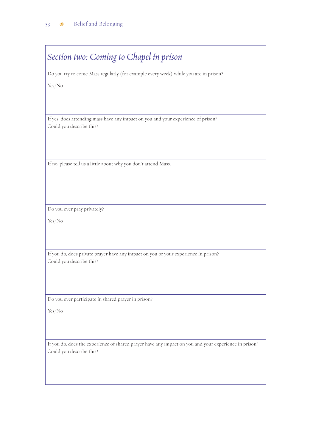| Section two: Coming to Chapel in prison                                                                         |
|-----------------------------------------------------------------------------------------------------------------|
| Do you try to come Mass regularly (for example every week) while you are in prison?                             |
| Yes/No                                                                                                          |
| If yes, does attending mass have any impact on you and your experience of prison?<br>Could you describe this?   |
| If no, please tell us a little about why you don't attend Mass.                                                 |
| Do you ever pray privately?                                                                                     |
| Yes/No                                                                                                          |
| If you do, does private prayer have any impact on you or your experience in prison?<br>Could you describe this? |
| Do you ever participate in shared prayer in prison?                                                             |
| Yes/No                                                                                                          |

If you do, does the experience of shared prayer have any impact on you and your experience in prison? Could you describe this?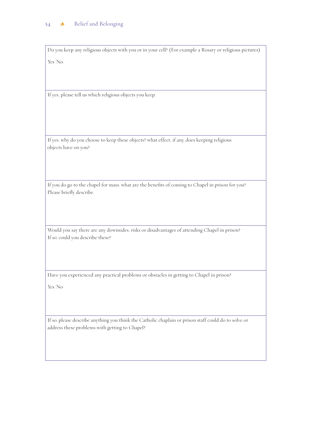Do you keep any religious objects with you or in your cell? (For example a Rosary or religious pictures) Yes/No.

If yes, please tell us which religious objects you keep.

If yes, why do you choose to keep these objects? what effect, if any, does keeping religious objects have on you?

If you do go to the chapel for mass, what are the benefits of coming to Chapel in prison for you? Please briefly describe.

Would you say there are any downsides, risks or disadvantages of attending Chapel in prison? If so, could you describe these?

Have you experienced any practical problems or obstacles in getting to Chapel in prison?

Yes/No

If so, please describe anything you think the Catholic chaplain or prison staff could do to solve or address these problems with getting to Chapel?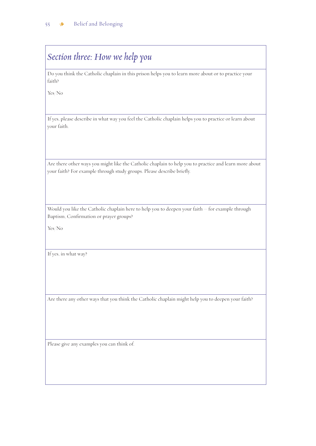$\Gamma$ 

| Section three: How we help you                                                                                                                                                   |
|----------------------------------------------------------------------------------------------------------------------------------------------------------------------------------|
| Do you think the Catholic chaplain in this prison helps you to learn more about or to practice your<br>faith?                                                                    |
| Yes/No                                                                                                                                                                           |
| If yes, please describe in what way you feel the Catholic chaplain helps you to practice or learn about<br>your faith.                                                           |
| Are there other ways you might like the Catholic chaplain to help you to practice and learn more about<br>your faith? For example through study groups. Please describe briefly. |
| Would you like the Catholic chaplain here to help you to deepen your faith - for example through<br>Baptism, Confirmation or prayer groups?<br>Yes/No                            |
| If yes, in what way?                                                                                                                                                             |
| Are there any other ways that you think the Catholic chaplain might help you to deepen your faith?                                                                               |
| Please give any examples you can think of.                                                                                                                                       |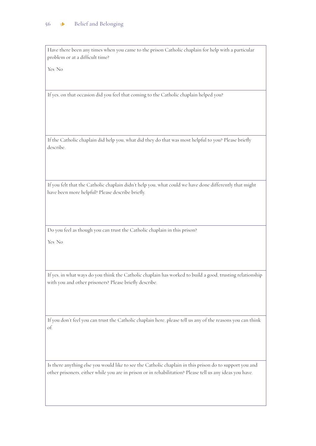Have there been any times when you came to the prison Catholic chaplain for help with a particular problem or at a difficult time?

Yes/No

If yes, on that occasion did you feel that coming to the Catholic chaplain helped you?

If the Catholic chaplain did help you, what did they do that was most helpful to you? Please briefly describe.

If you felt that the Catholic chaplain didn't help you, what could we have done differently that might have been more helpful? Please describe briefly.

Do you feel as though you can trust the Catholic chaplain in this prison?

Yes/No

If yes, in what ways do you think the Catholic chaplain has worked to build a good, trusting relationship with you and other prisoners? Please briefly describe.

If you don't feel you can trust the Catholic chaplain here, please tell us any of the reasons you can think of.

Is there anything else you would like to see the Catholic chaplain in this prison do to support you and other prisoners, either while you are in prison or in rehabilitation? Please tell us any ideas you have.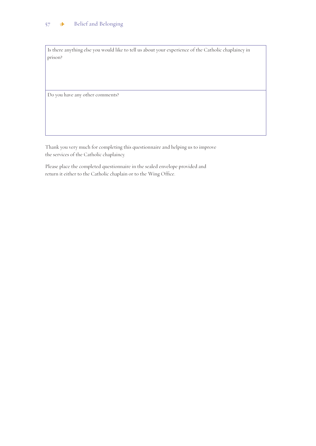Is there anything else you would like to tell us about your experience of the Catholic chaplaincy in prison?

Do you have any other comments?

Thank you very much for completing this questionnaire and helping us to improve the services of the Catholic chaplaincy.

Please place the completed questionnaire in the sealed envelope provided and return it either to the Catholic chaplain or to the Wing Office.